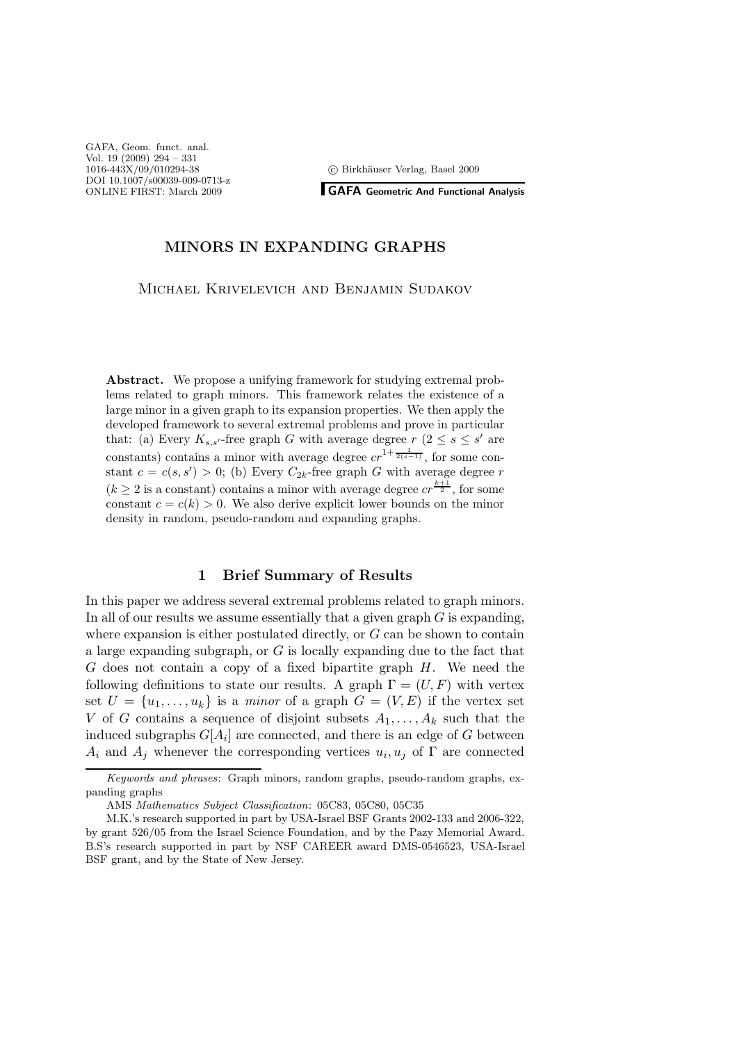c Birkh¨auser Verlag, Basel 2009

GAFA, Geom. funct. anal. Vol. 19 (2009) 294 – 331 1016-443X/09/010294-38 DOI 10.1007/s00039-009-0713-z ONLINE FIRST: March 2009

**GAFA Geometric And Functional Analysis** 

### MINORS IN EXPANDING GRAPHS

Michael Krivelevich and Benjamin Sudakov

Abstract. We propose a unifying framework for studying extremal problems related to graph minors. This framework relates the existence of a large minor in a given graph to its expansion properties. We then apply the developed framework to several extremal problems and prove in particular that: (a) Every  $K_{s,s'}$ -free graph G with average degree  $r (2 \leq s \leq s'$  are constants) contains a minor with average degree  $cr^{1+\frac{1}{2(s-1)}}$ , for some constant  $c = c(s, s') > 0$ ; (b) Every  $C_{2k}$ -free graph G with average degree r  $(k \geq 2$  is a constant) contains a minor with average degree  $cr^{\frac{k+1}{2}}$ , for some constant  $c = c(k) > 0$ . We also derive explicit lower bounds on the minor density in random, pseudo-random and expanding graphs.

## 1 Brief Summary of Results

In this paper we address several extremal problems related to graph minors. In all of our results we assume essentially that a given graph  $G$  is expanding, where expansion is either postulated directly, or  $G$  can be shown to contain a large expanding subgraph, or G is locally expanding due to the fact that  $G$  does not contain a copy of a fixed bipartite graph  $H$ . We need the following definitions to state our results. A graph  $\Gamma = (U, F)$  with vertex set  $U = \{u_1, \ldots, u_k\}$  is a minor of a graph  $G = (V, E)$  if the vertex set V of G contains a sequence of disjoint subsets  $A_1, \ldots, A_k$  such that the induced subgraphs  $G[A_i]$  are connected, and there is an edge of G between  $A_i$  and  $A_j$  whenever the corresponding vertices  $u_i, u_j$  of  $\Gamma$  are connected

Keywords and phrases: Graph minors, random graphs, pseudo-random graphs, expanding graphs

AMS Mathematics Subject Classification: 05C83, 05C80, 05C35

M.K.'s research supported in part by USA-Israel BSF Grants 2002-133 and 2006-322, by grant 526/05 from the Israel Science Foundation, and by the Pazy Memorial Award. B.S's research supported in part by NSF CAREER award DMS-0546523, USA-Israel BSF grant, and by the State of New Jersey.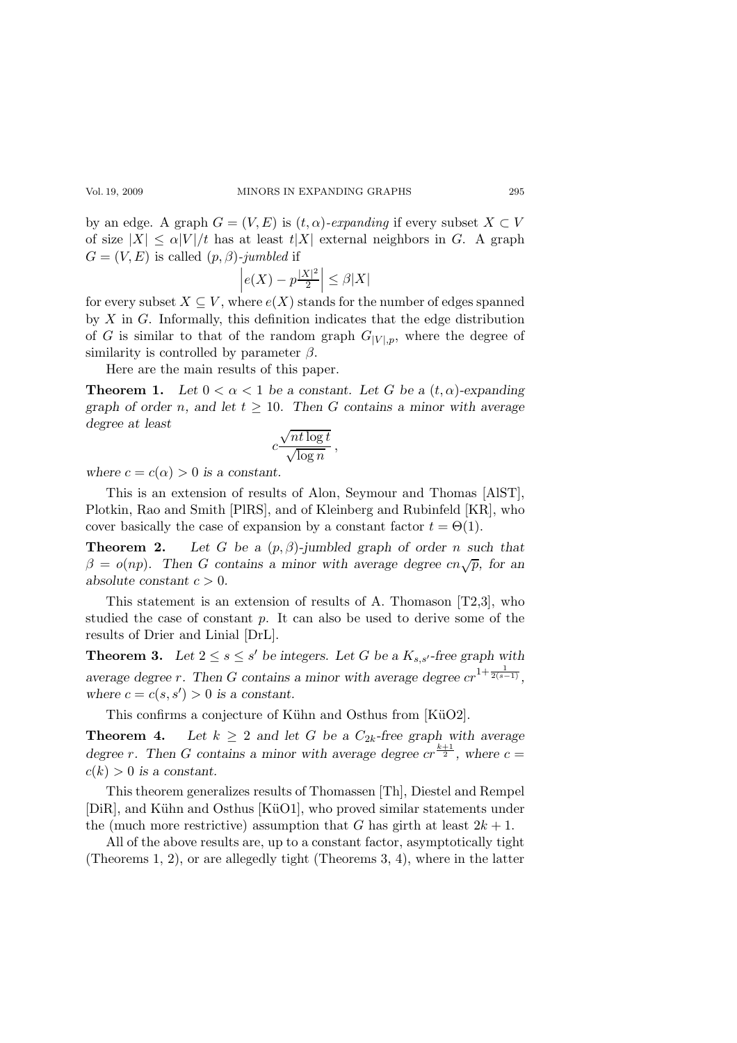#### Vol. 19, 2009 MINORS IN EXPANDING GRAPHS 295

by an edge. A graph  $G = (V, E)$  is  $(t, \alpha)$ -expanding if every subset  $X \subset V$ of size  $|X| \le \alpha |V|/t$  has at least  $t|X|$  external neighbors in G. A graph  $G = (V, E)$  is called  $(p, \beta)$ -jumbled if

$$
\left| e(X) - p\frac{|X|^2}{2} \right| \le \beta |X|
$$

for every subset  $X \subseteq V$ , where  $e(X)$  stands for the number of edges spanned by  $X$  in  $G$ . Informally, this definition indicates that the edge distribution of G is similar to that of the random graph  $G_{|V|,p}$ , where the degree of similarity is controlled by parameter  $\beta$ .

Here are the main results of this paper.

**Theorem 1.** Let  $0 < \alpha < 1$  be a constant. Let G be a  $(t, \alpha)$ -expanding graph of order n, and let  $t \geq 10$ . Then G contains a minor with average degree at least

$$
c\frac{\sqrt{nt\log t}}{\sqrt{\log n}}\,,
$$

where  $c = c(\alpha) > 0$  is a constant.

This is an extension of results of Alon, Seymour and Thomas [AlST], Plotkin, Rao and Smith [PlRS], and of Kleinberg and Rubinfeld [KR], who cover basically the case of expansion by a constant factor  $t = \Theta(1)$ .

**Theorem 2.** Let G be a  $(p, \beta)$ -jumbled graph of order n such that  $\beta = o(np)$ . Then G contains a minor with average degree cn $\sqrt{p}$ , for an absolute constant  $c > 0$ .

This statement is an extension of results of A. Thomason [T2,3], who studied the case of constant p. It can also be used to derive some of the results of Drier and Linial [DrL].

**Theorem 3.** Let  $2 \leq s \leq s'$  be integers. Let G be a  $K_{s,s'}$ -free graph with average degree r. Then G contains a minor with average degree  $cr^{1+\frac{1}{2(s-1)}},$ where  $c = c(s, s') > 0$  is a constant.

This confirms a conjecture of Kühn and Osthus from [KüO2].

**Theorem 4.** Let  $k \geq 2$  and let G be a  $C_{2k}$ -free graph with average degree r. Then G contains a minor with average degree  $cr^{\frac{k+1}{2}}$ , where  $c =$  $c(k) > 0$  is a constant.

This theorem generalizes results of Thomassen [Th], Diestel and Rempel [DiR], and Kühn and Osthus [KüO1], who proved similar statements under the (much more restrictive) assumption that G has girth at least  $2k + 1$ .

All of the above results are, up to a constant factor, asymptotically tight (Theorems 1, 2), or are allegedly tight (Theorems 3, 4), where in the latter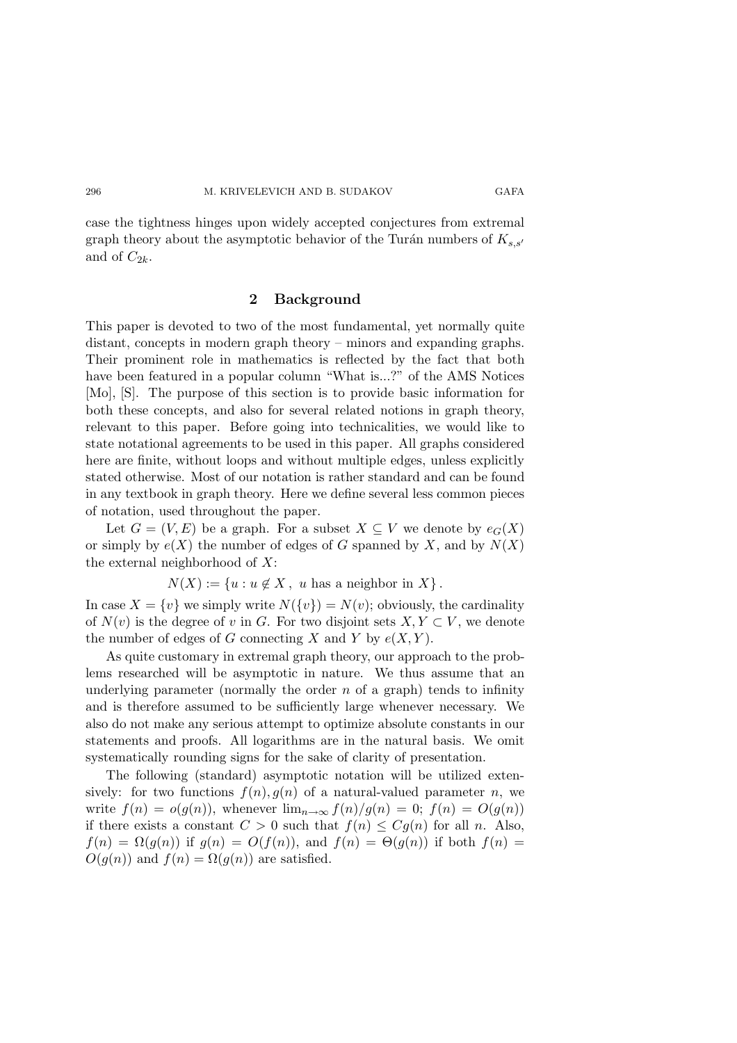case the tightness hinges upon widely accepted conjectures from extremal graph theory about the asymptotic behavior of the Turán numbers of  $K_{s,s'}$ and of  $C_{2k}$ .

### 2 Background

This paper is devoted to two of the most fundamental, yet normally quite distant, concepts in modern graph theory – minors and expanding graphs. Their prominent role in mathematics is reflected by the fact that both have been featured in a popular column "What is...?" of the AMS Notices [Mo], [S]. The purpose of this section is to provide basic information for both these concepts, and also for several related notions in graph theory, relevant to this paper. Before going into technicalities, we would like to state notational agreements to be used in this paper. All graphs considered here are finite, without loops and without multiple edges, unless explicitly stated otherwise. Most of our notation is rather standard and can be found in any textbook in graph theory. Here we define several less common pieces of notation, used throughout the paper.

Let  $G = (V, E)$  be a graph. For a subset  $X \subseteq V$  we denote by  $e_G(X)$ or simply by  $e(X)$  the number of edges of G spanned by X, and by  $N(X)$ the external neighborhood of  $X$ :

 $N(X) := \{u : u \notin X, u \text{ has a neighbor in } X\}.$ 

In case  $X = \{v\}$  we simply write  $N(\{v\}) = N(v)$ ; obviously, the cardinality of  $N(v)$  is the degree of v in G. For two disjoint sets  $X, Y \subset V$ , we denote the number of edges of G connecting X and Y by  $e(X, Y)$ .

As quite customary in extremal graph theory, our approach to the problems researched will be asymptotic in nature. We thus assume that an underlying parameter (normally the order  $n$  of a graph) tends to infinity and is therefore assumed to be sufficiently large whenever necessary. We also do not make any serious attempt to optimize absolute constants in our statements and proofs. All logarithms are in the natural basis. We omit systematically rounding signs for the sake of clarity of presentation.

The following (standard) asymptotic notation will be utilized extensively: for two functions  $f(n)$ ,  $g(n)$  of a natural-valued parameter n, we write  $f(n) = o(g(n))$ , whenever  $\lim_{n\to\infty} f(n)/g(n) = 0$ ;  $f(n) = O(g(n))$ if there exists a constant  $C > 0$  such that  $f(n) \leq Cg(n)$  for all n. Also,  $f(n) = \Omega(g(n))$  if  $g(n) = O(f(n))$ , and  $f(n) = \Theta(g(n))$  if both  $f(n) =$  $O(g(n))$  and  $f(n) = \Omega(g(n))$  are satisfied.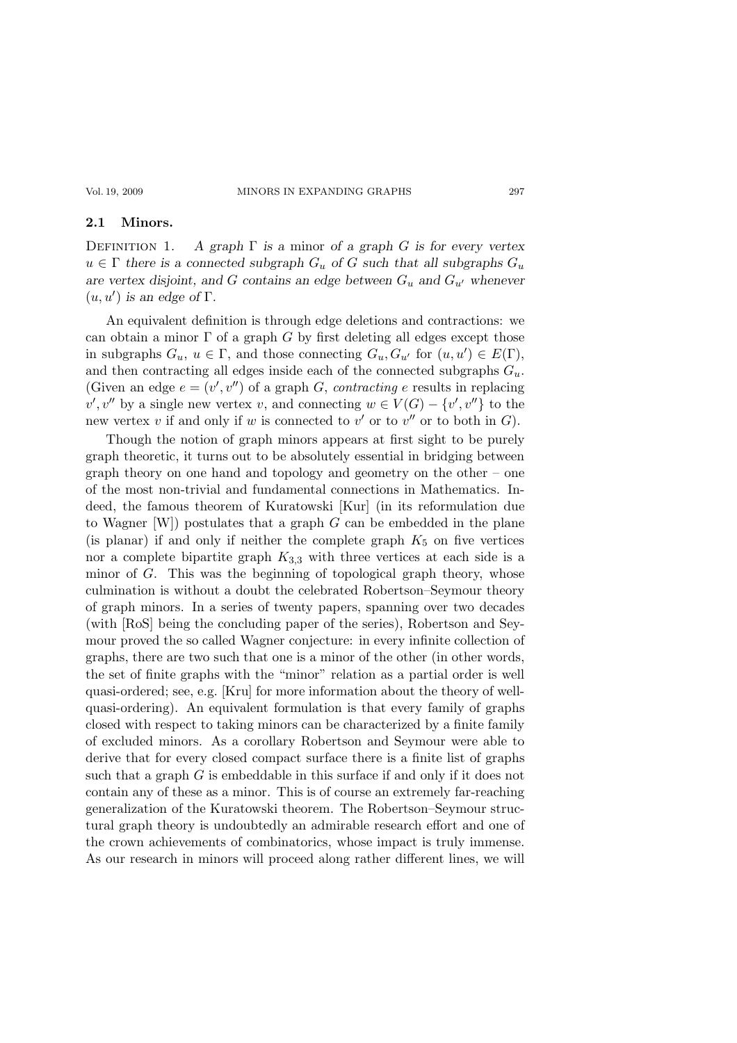### 2.1 Minors.

DEFINITION 1. A graph  $\Gamma$  is a minor of a graph G is for every vertex  $u \in \Gamma$  there is a connected subgraph  $G_u$  of G such that all subgraphs  $G_u$ are vertex disjoint, and G contains an edge between  $G_u$  and  $G_{u'}$  whenever  $(u, u')$  is an edge of  $\Gamma$ .

An equivalent definition is through edge deletions and contractions: we can obtain a minor  $\Gamma$  of a graph G by first deleting all edges except those in subgraphs  $G_u$ ,  $u \in \Gamma$ , and those connecting  $G_u$ ,  $G_{u'}$  for  $(u, u') \in E(\Gamma)$ , and then contracting all edges inside each of the connected subgraphs  $G_u$ . (Given an edge  $e = (v', v'')$  of a graph G, contracting e results in replacing  $v', v''$  by a single new vertex v, and connecting  $w \in V(G) - \{v', v''\}$  to the new vertex v if and only if w is connected to  $v'$  or to  $v''$  or to both in  $G$ ).

Though the notion of graph minors appears at first sight to be purely graph theoretic, it turns out to be absolutely essential in bridging between graph theory on one hand and topology and geometry on the other – one of the most non-trivial and fundamental connections in Mathematics. Indeed, the famous theorem of Kuratowski [Kur] (in its reformulation due to Wagner  $[W]$ ) postulates that a graph  $G$  can be embedded in the plane (is planar) if and only if neither the complete graph  $K_5$  on five vertices nor a complete bipartite graph  $K_{3,3}$  with three vertices at each side is a minor of G. This was the beginning of topological graph theory, whose culmination is without a doubt the celebrated Robertson–Seymour theory of graph minors. In a series of twenty papers, spanning over two decades (with [RoS] being the concluding paper of the series), Robertson and Seymour proved the so called Wagner conjecture: in every infinite collection of graphs, there are two such that one is a minor of the other (in other words, the set of finite graphs with the "minor" relation as a partial order is well quasi-ordered; see, e.g. [Kru] for more information about the theory of wellquasi-ordering). An equivalent formulation is that every family of graphs closed with respect to taking minors can be characterized by a finite family of excluded minors. As a corollary Robertson and Seymour were able to derive that for every closed compact surface there is a finite list of graphs such that a graph  $G$  is embeddable in this surface if and only if it does not contain any of these as a minor. This is of course an extremely far-reaching generalization of the Kuratowski theorem. The Robertson–Seymour structural graph theory is undoubtedly an admirable research effort and one of the crown achievements of combinatorics, whose impact is truly immense. As our research in minors will proceed along rather different lines, we will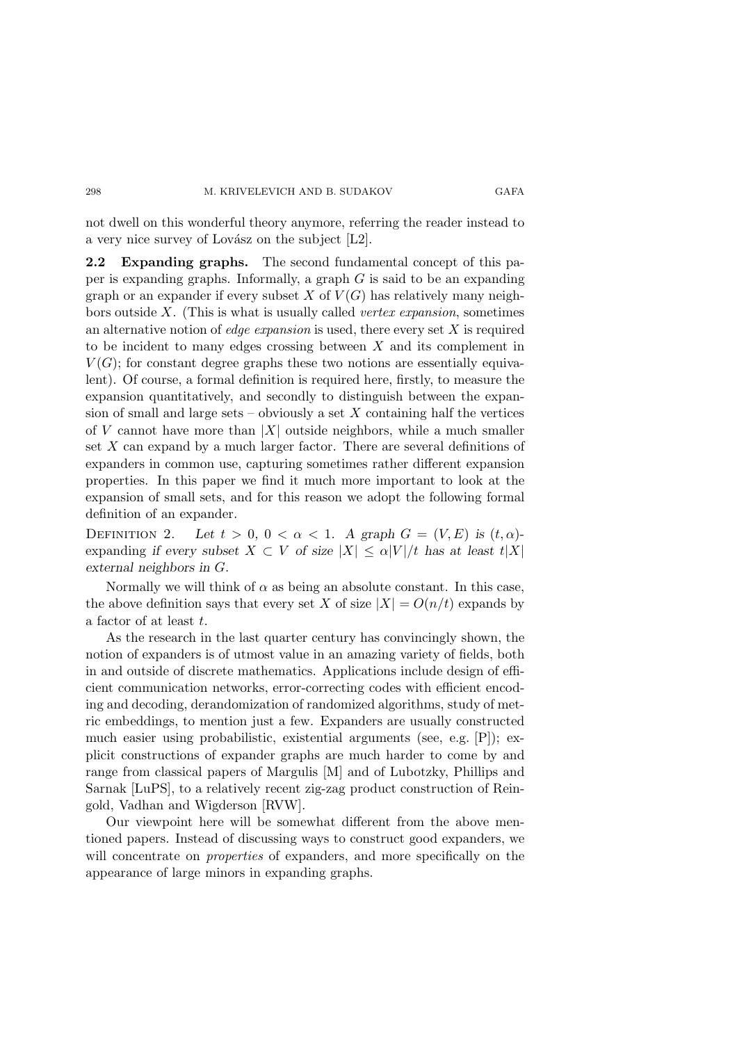not dwell on this wonderful theory anymore, referring the reader instead to a very nice survey of Lovász on the subject  $[L2]$ .

2.2 Expanding graphs. The second fundamental concept of this paper is expanding graphs. Informally, a graph G is said to be an expanding graph or an expander if every subset X of  $V(G)$  has relatively many neighbors outside  $X$ . (This is what is usually called *vertex expansion*, sometimes an alternative notion of *edge expansion* is used, there every set  $X$  is required to be incident to many edges crossing between  $X$  and its complement in  $V(G)$ ; for constant degree graphs these two notions are essentially equivalent). Of course, a formal definition is required here, firstly, to measure the expansion quantitatively, and secondly to distinguish between the expansion of small and large sets – obviously a set  $X$  containing half the vertices of V cannot have more than  $|X|$  outside neighbors, while a much smaller set  $X$  can expand by a much larger factor. There are several definitions of expanders in common use, capturing sometimes rather different expansion properties. In this paper we find it much more important to look at the expansion of small sets, and for this reason we adopt the following formal definition of an expander.

DEFINITION 2. Let  $t > 0$ ,  $0 < \alpha < 1$ . A graph  $G = (V, E)$  is  $(t, \alpha)$ expanding if every subset  $X \subset V$  of size  $|X| \leq \alpha |V|/t$  has at least  $t|X|$ external neighbors in G.

Normally we will think of  $\alpha$  as being an absolute constant. In this case, the above definition says that every set X of size  $|X| = O(n/t)$  expands by a factor of at least t.

As the research in the last quarter century has convincingly shown, the notion of expanders is of utmost value in an amazing variety of fields, both in and outside of discrete mathematics. Applications include design of efficient communication networks, error-correcting codes with efficient encoding and decoding, derandomization of randomized algorithms, study of metric embeddings, to mention just a few. Expanders are usually constructed much easier using probabilistic, existential arguments (see, e.g. [P]); explicit constructions of expander graphs are much harder to come by and range from classical papers of Margulis [M] and of Lubotzky, Phillips and Sarnak [LuPS], to a relatively recent zig-zag product construction of Reingold, Vadhan and Wigderson [RVW].

Our viewpoint here will be somewhat different from the above mentioned papers. Instead of discussing ways to construct good expanders, we will concentrate on *properties* of expanders, and more specifically on the appearance of large minors in expanding graphs.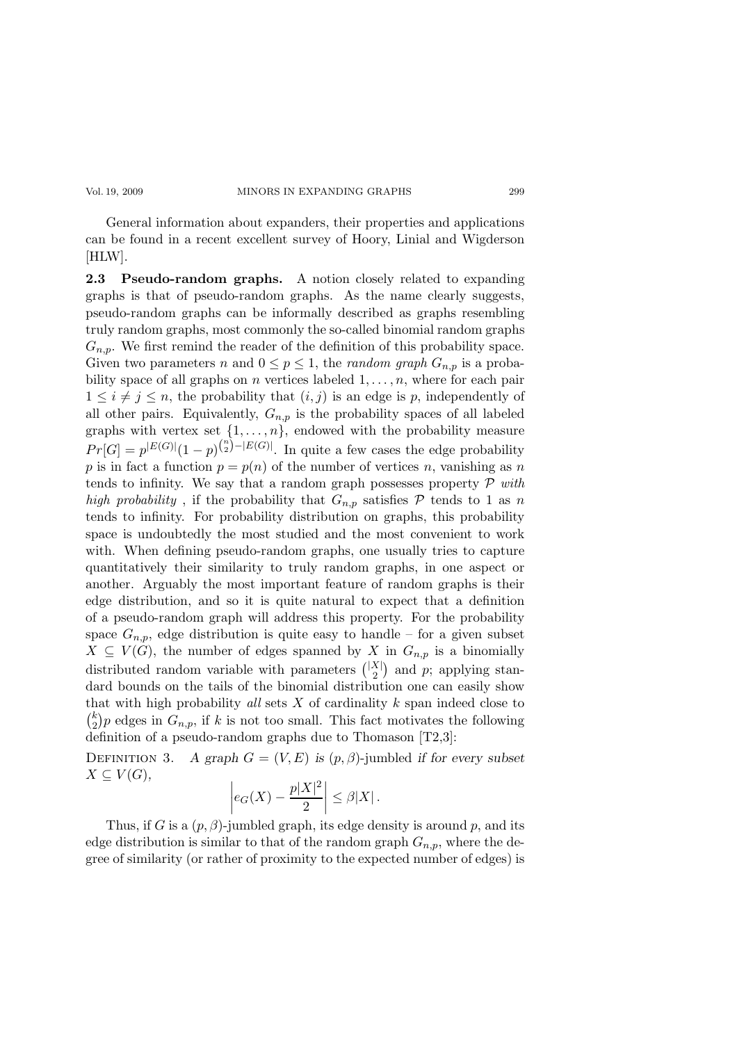General information about expanders, their properties and applications can be found in a recent excellent survey of Hoory, Linial and Wigderson [HLW].

2.3 Pseudo-random graphs. A notion closely related to expanding graphs is that of pseudo-random graphs. As the name clearly suggests, pseudo-random graphs can be informally described as graphs resembling truly random graphs, most commonly the so-called binomial random graphs  $G_{n,p}$ . We first remind the reader of the definition of this probability space. Given two parameters n and  $0 \le p \le 1$ , the random graph  $G_{n,p}$  is a probability space of all graphs on n vertices labeled  $1, \ldots, n$ , where for each pair  $1 \leq i \neq j \leq n$ , the probability that  $(i, j)$  is an edge is p, independently of all other pairs. Equivalently,  $G_{n,p}$  is the probability spaces of all labeled graphs with vertex set  $\{1, \ldots, n\}$ , endowed with the probability measure  $Pr[G] = p^{|E(G)|} (1-p)^{{n \choose 2} - |E(G)|}$ . In quite a few cases the edge probability p is in fact a function  $p = p(n)$  of the number of vertices n, vanishing as n tends to infinity. We say that a random graph possesses property  $\mathcal P$  with high probability, if the probability that  $G_{n,p}$  satisfies  $P$  tends to 1 as n tends to infinity. For probability distribution on graphs, this probability space is undoubtedly the most studied and the most convenient to work with. When defining pseudo-random graphs, one usually tries to capture quantitatively their similarity to truly random graphs, in one aspect or another. Arguably the most important feature of random graphs is their edge distribution, and so it is quite natural to expect that a definition of a pseudo-random graph will address this property. For the probability space  $G_{n,p}$ , edge distribution is quite easy to handle – for a given subset  $X \subseteq V(G)$ , the number of edges spanned by X in  $G_{n,p}$  is a binomially distributed random variable with parameters  $\binom{|X|}{2}$  $\binom{X}{2}$  and p; applying standard bounds on the tails of the binomial distribution one can easily show that with high probability all sets  $X$  of cardinality  $k$  span indeed close to  $\binom{k}{2}$  $\binom{k}{2}$  edges in  $G_{n,p}$ , if k is not too small. This fact motivates the following definition of a pseudo-random graphs due to Thomason [T2,3]:

DEFINITION 3. A graph  $G = (V, E)$  is  $(p, \beta)$ -jumbled if for every subset  $X \subseteq V(G),$ 

$$
\left| e_G(X) - \frac{p|X|^2}{2} \right| \le \beta |X| \, .
$$

Thus, if G is a  $(p, \beta)$ -jumbled graph, its edge density is around p, and its edge distribution is similar to that of the random graph  $G_{n,p}$ , where the degree of similarity (or rather of proximity to the expected number of edges) is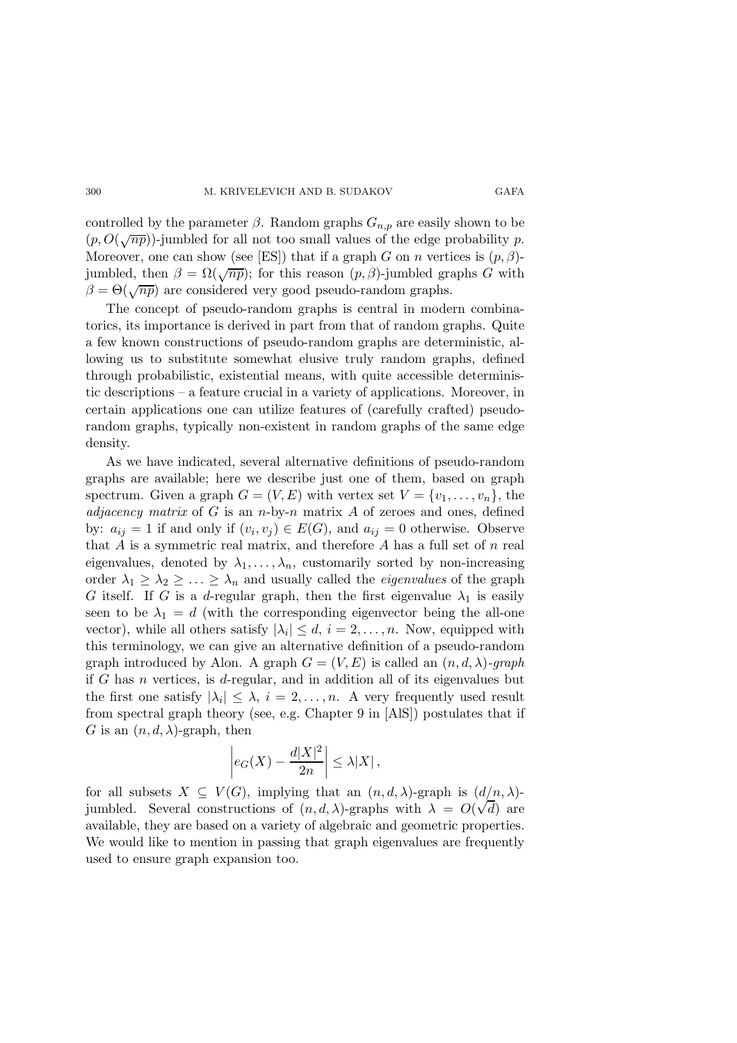controlled by the parameter  $\beta$ . Random graphs  $G_{n,p}$  are easily shown to be  $(p, O(\sqrt{np}))$ -jumbled for all not too small values of the edge probability p. Moreover, one can show (see [ES]) that if a graph G on n vertices is  $(p, \beta)$ jumbled, then  $\beta = \Omega(\sqrt{np})$ ; for this reason  $(p, \beta)$ -jumbled graphs G with  $\beta = \Theta(\sqrt{np})$  are considered very good pseudo-random graphs.

The concept of pseudo-random graphs is central in modern combinatorics, its importance is derived in part from that of random graphs. Quite a few known constructions of pseudo-random graphs are deterministic, allowing us to substitute somewhat elusive truly random graphs, defined through probabilistic, existential means, with quite accessible deterministic descriptions – a feature crucial in a variety of applications. Moreover, in certain applications one can utilize features of (carefully crafted) pseudorandom graphs, typically non-existent in random graphs of the same edge density.

As we have indicated, several alternative definitions of pseudo-random graphs are available; here we describe just one of them, based on graph spectrum. Given a graph  $G = (V, E)$  with vertex set  $V = \{v_1, \ldots, v_n\}$ , the adjacency matrix of G is an n-by-n matrix  $A$  of zeroes and ones, defined by:  $a_{ij} = 1$  if and only if  $(v_i, v_j) \in E(G)$ , and  $a_{ij} = 0$  otherwise. Observe that  $A$  is a symmetric real matrix, and therefore  $A$  has a full set of  $n$  real eigenvalues, denoted by  $\lambda_1, \ldots, \lambda_n$ , customarily sorted by non-increasing order  $\lambda_1 \geq \lambda_2 \geq \ldots \geq \lambda_n$  and usually called the *eigenvalues* of the graph G itself. If G is a d-regular graph, then the first eigenvalue  $\lambda_1$  is easily seen to be  $\lambda_1 = d$  (with the corresponding eigenvector being the all-one vector), while all others satisfy  $|\lambda_i| \leq d$ ,  $i = 2, ..., n$ . Now, equipped with this terminology, we can give an alternative definition of a pseudo-random graph introduced by Alon. A graph  $G = (V, E)$  is called an  $(n, d, \lambda)$ -graph if G has n vertices, is d-regular, and in addition all of its eigenvalues but the first one satisfy  $|\lambda_i| \leq \lambda$ ,  $i = 2, ..., n$ . A very frequently used result from spectral graph theory (see, e.g. Chapter 9 in [AlS]) postulates that if G is an  $(n, d, \lambda)$ -graph, then

$$
\left| e_G(X) - \frac{d|X|^2}{2n} \right| \le \lambda |X| \,,
$$

for all subsets  $X \subseteq V(G)$ , implying that an  $(n, d, \lambda)$ -graph is  $(d/n, \lambda)$ jumbled. Several constructions of  $(n, d, \lambda)$ -graphs with  $\lambda = O(\sqrt{d})$  are available, they are based on a variety of algebraic and geometric properties. We would like to mention in passing that graph eigenvalues are frequently used to ensure graph expansion too.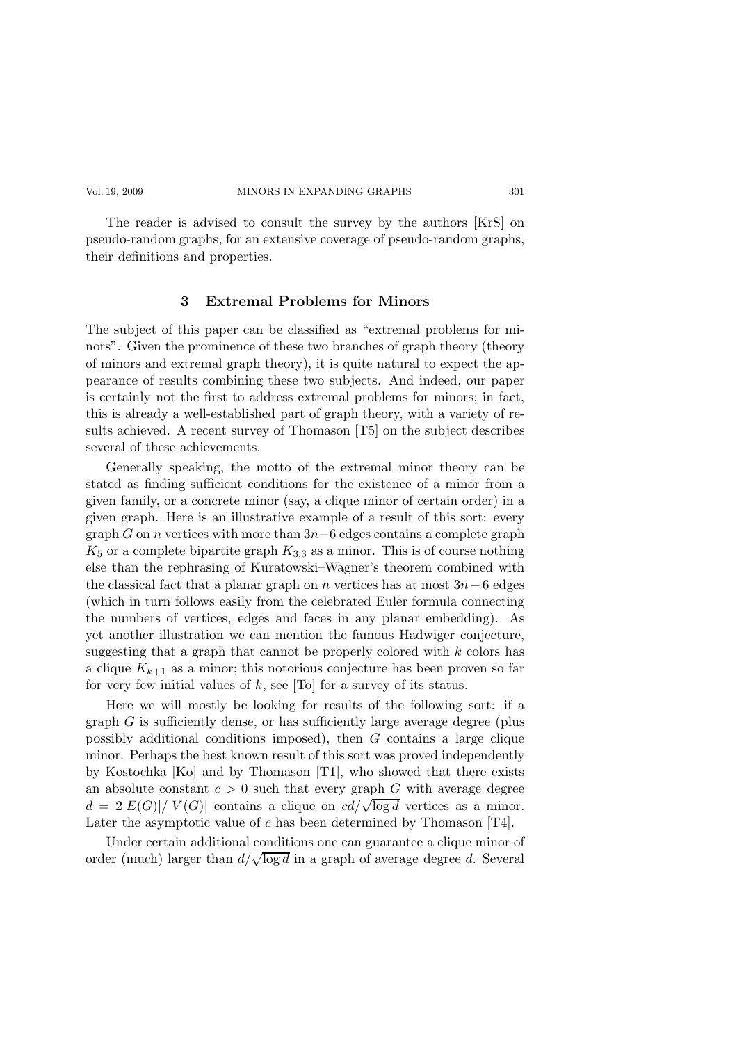The reader is advised to consult the survey by the authors [KrS] on pseudo-random graphs, for an extensive coverage of pseudo-random graphs, their definitions and properties.

### 3 Extremal Problems for Minors

The subject of this paper can be classified as "extremal problems for minors". Given the prominence of these two branches of graph theory (theory of minors and extremal graph theory), it is quite natural to expect the appearance of results combining these two subjects. And indeed, our paper is certainly not the first to address extremal problems for minors; in fact, this is already a well-established part of graph theory, with a variety of results achieved. A recent survey of Thomason [T5] on the subject describes several of these achievements.

Generally speaking, the motto of the extremal minor theory can be stated as finding sufficient conditions for the existence of a minor from a given family, or a concrete minor (say, a clique minor of certain order) in a given graph. Here is an illustrative example of a result of this sort: every graph G on n vertices with more than  $3n-6$  edges contains a complete graph  $K_5$  or a complete bipartite graph  $K_{3,3}$  as a minor. This is of course nothing else than the rephrasing of Kuratowski–Wagner's theorem combined with the classical fact that a planar graph on n vertices has at most  $3n-6$  edges (which in turn follows easily from the celebrated Euler formula connecting the numbers of vertices, edges and faces in any planar embedding). As yet another illustration we can mention the famous Hadwiger conjecture, suggesting that a graph that cannot be properly colored with  $k$  colors has a clique  $K_{k+1}$  as a minor; this notorious conjecture has been proven so far for very few initial values of  $k$ , see [To] for a survey of its status.

Here we will mostly be looking for results of the following sort: if a graph  $G$  is sufficiently dense, or has sufficiently large average degree (plus possibly additional conditions imposed), then G contains a large clique minor. Perhaps the best known result of this sort was proved independently by Kostochka [Ko] and by Thomason [T1], who showed that there exists an absolute constant  $c > 0$  such that every graph G with average degree  $d = 2|E(G)|/|V(G)|$  contains a clique on  $cd/\sqrt{\log d}$  vertices as a minor. Later the asymptotic value of c has been determined by Thomason [T4].

Under certain additional conditions one can guarantee a clique minor of order (much) larger than  $d/\sqrt{\log d}$  in a graph of average degree d. Several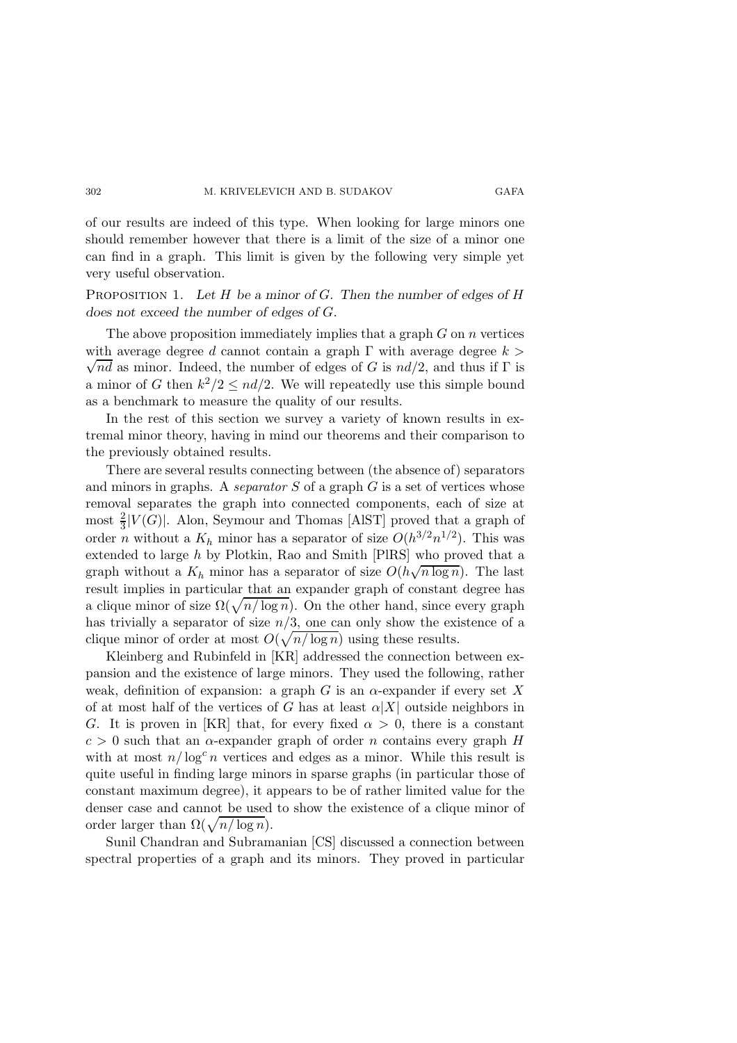of our results are indeed of this type. When looking for large minors one should remember however that there is a limit of the size of a minor one can find in a graph. This limit is given by the following very simple yet very useful observation.

PROPOSITION 1. Let H be a minor of G. Then the number of edges of H does not exceed the number of edges of G.

The above proposition immediately implies that a graph  $G$  on  $n$  vertices  $\sqrt{nd}$  as minor. Indeed, the number of edges of G is  $nd/2$ , and thus if  $\Gamma$  is with average degree d cannot contain a graph  $\Gamma$  with average degree  $k >$ a minor of G then  $k^2/2 \leq nd/2$ . We will repeatedly use this simple bound as a benchmark to measure the quality of our results.

In the rest of this section we survey a variety of known results in extremal minor theory, having in mind our theorems and their comparison to the previously obtained results.

There are several results connecting between (the absence of) separators and minors in graphs. A *separator S* of a graph  $G$  is a set of vertices whose removal separates the graph into connected components, each of size at most  $\frac{2}{3}|V(G)|$ . Alon, Seymour and Thomas [AlST] proved that a graph of order *n* without a  $K_h$  minor has a separator of size  $O(h^{3/2}n^{1/2})$ . This was extended to large h by Plotkin, Rao and Smith [PlRS] who proved that a graph without a  $K_h$  minor has a separator of size  $O(h\sqrt{n \log n})$ . The last result implies in particular that an expander graph of constant degree has a clique minor of size  $\Omega(\sqrt{n/\log n})$ . On the other hand, since every graph has trivially a separator of size  $n/3$ , one can only show the existence of a clique minor of order at most  $O(\sqrt{n/\log n})$  using these results.

Kleinberg and Rubinfeld in [KR] addressed the connection between expansion and the existence of large minors. They used the following, rather weak, definition of expansion: a graph G is an  $\alpha$ -expander if every set X of at most half of the vertices of G has at least  $\alpha|X|$  outside neighbors in G. It is proven in [KR] that, for every fixed  $\alpha > 0$ , there is a constant  $c > 0$  such that an  $\alpha$ -expander graph of order *n* contains every graph H with at most  $n/\log^c n$  vertices and edges as a minor. While this result is quite useful in finding large minors in sparse graphs (in particular those of constant maximum degree), it appears to be of rather limited value for the denser case and cannot be used to show the existence of a clique minor of order larger than  $\Omega(\sqrt{n/\log n})$ .

Sunil Chandran and Subramanian [CS] discussed a connection between spectral properties of a graph and its minors. They proved in particular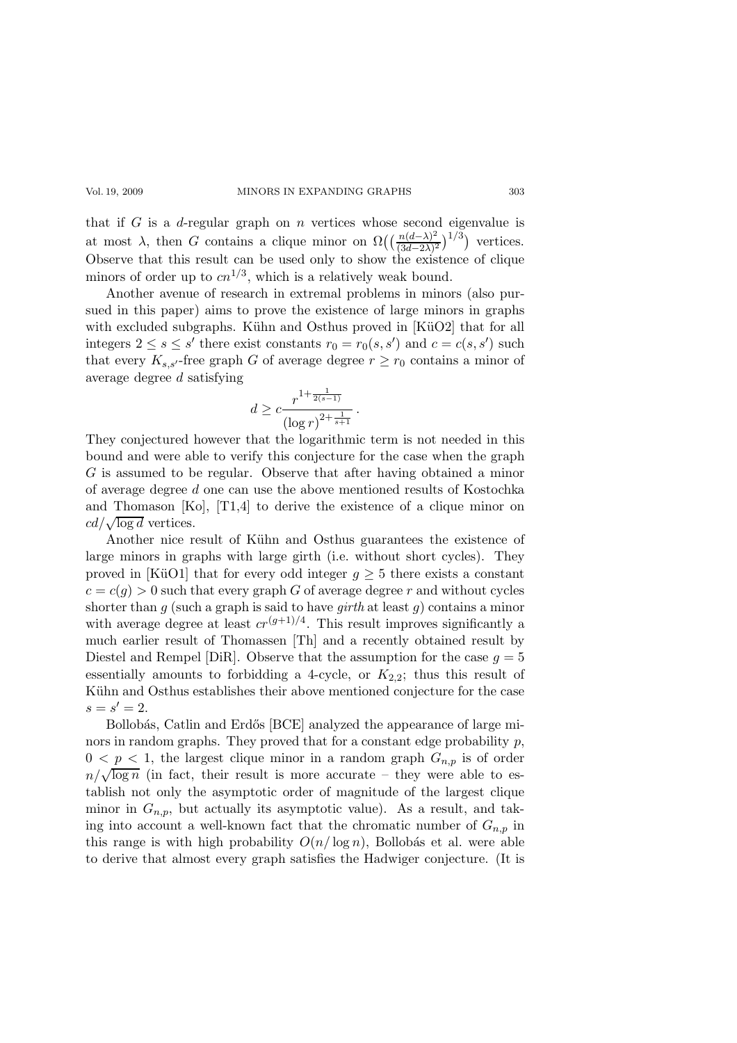that if  $G$  is a d-regular graph on  $n$  vertices whose second eigenvalue is at most  $\lambda$ , then G contains a clique minor on  $\Omega\left(\frac{n(d-\lambda)^2}{(3d-2\lambda)^2}\right)$  $\frac{n(d-\lambda)^2}{(3d-2\lambda)^2}$ <sup>1/3</sup>) vertices. Observe that this result can be used only to show the existence of clique minors of order up to  $cn^{1/3}$ , which is a relatively weak bound.

Another avenue of research in extremal problems in minors (also pursued in this paper) aims to prove the existence of large minors in graphs with excluded subgraphs. Kühn and Osthus proved in  $K\ddot{\text{u}}O2$  that for all integers  $2 \le s \le s'$  there exist constants  $r_0 = r_0(s, s')$  and  $c = c(s, s')$  such that every  $K_{s,s'}$ -free graph G of average degree  $r \geq r_0$  contains a minor of average degree d satisfying

$$
d \geq c \frac{r^{1+\frac{1}{2(s-1)}}}{(\log r)^{2+\frac{1}{s+1}}}.
$$

They conjectured however that the logarithmic term is not needed in this bound and were able to verify this conjecture for the case when the graph G is assumed to be regular. Observe that after having obtained a minor of average degree d one can use the above mentioned results of Kostochka and Thomason [Ko], [T1,4] to derive the existence of a clique minor on  $cd/\sqrt{\log d}$  vertices.

Another nice result of Kühn and Osthus guarantees the existence of large minors in graphs with large girth (i.e. without short cycles). They proved in [KüO1] that for every odd integer  $g \geq 5$  there exists a constant  $c = c(q) > 0$  such that every graph G of average degree r and without cycles shorter than q (such a graph is said to have  $qirth$  at least q) contains a minor with average degree at least  $cr^{(g+1)/4}$ . This result improves significantly a much earlier result of Thomassen [Th] and a recently obtained result by Diestel and Rempel [DiR]. Observe that the assumption for the case  $g = 5$ essentially amounts to forbidding a 4-cycle, or  $K_{2,2}$ ; thus this result of Kühn and Osthus establishes their above mentioned conjecture for the case  $s = s' = 2.$ 

Bollobás, Catlin and Erdős [BCE] analyzed the appearance of large minors in random graphs. They proved that for a constant edge probability  $p$ ,  $0 < p < 1$ , the largest clique minor in a random graph  $G_{n,p}$  is of order  $n/\sqrt{\log n}$  (in fact, their result is more accurate – they were able to establish not only the asymptotic order of magnitude of the largest clique minor in  $G_{n,p}$ , but actually its asymptotic value). As a result, and taking into account a well-known fact that the chromatic number of  $G_{n,p}$  in this range is with high probability  $O(n/\log n)$ , Bollobás et al. were able to derive that almost every graph satisfies the Hadwiger conjecture. (It is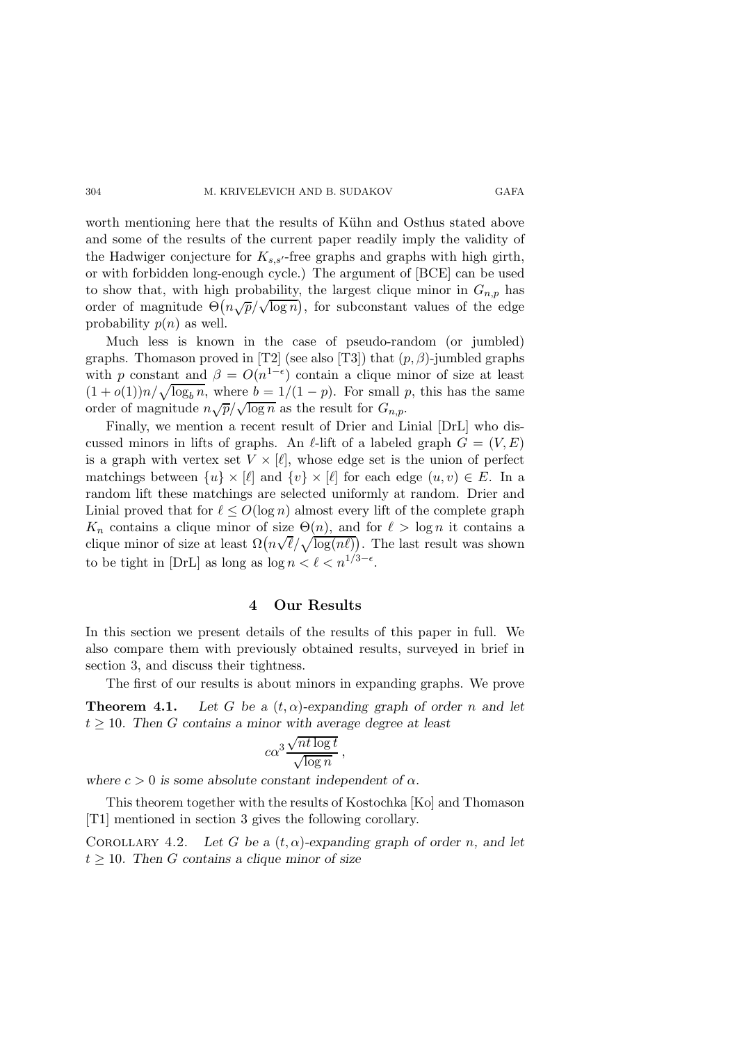worth mentioning here that the results of Kühn and Osthus stated above and some of the results of the current paper readily imply the validity of the Hadwiger conjecture for  $K_{s,s'}$ -free graphs and graphs with high girth, or with forbidden long-enough cycle.) The argument of [BCE] can be used to show that, with high probability, the largest clique minor in  $G_{n,p}$  has order of magnitude  $\Theta(n\sqrt{p}/\sqrt{\log n})$ , for subconstant values of the edge probability  $p(n)$  as well.

Much less is known in the case of pseudo-random (or jumbled) graphs. Thomason proved in [T2] (see also [T3]) that  $(p, \beta)$ -jumbled graphs with p constant and  $\beta = O(n^{1-\epsilon})$  contain a clique minor of size at least  $(1+o(1))n/\sqrt{\log_b n}$ , where  $b = 1/(1-p)$ . For small p, this has the same order of magnitude  $n\sqrt{p}/\sqrt{\log n}$  as the result for  $G_{n,p}$ .

Finally, we mention a recent result of Drier and Linial [DrL] who discussed minors in lifts of graphs. An  $\ell$ -lift of a labeled graph  $G = (V, E)$ is a graph with vertex set  $V \times [\ell]$ , whose edge set is the union of perfect matchings between  $\{u\} \times [\ell]$  and  $\{v\} \times [\ell]$  for each edge  $(u, v) \in E$ . In a random lift these matchings are selected uniformly at random. Drier and Linial proved that for  $\ell \leq O(\log n)$  almost every lift of the complete graph  $K_n$  contains a clique minor of size  $\Theta(n)$ , and for  $\ell > \log n$  it contains a clique minor of size at least  $\Omega(n\sqrt{\ell}/\sqrt{\log(n\ell)})$ . The last result was shown to be tight in [DrL] as long as  $\log n < \ell < n^{1/3 - \epsilon}$ .

## 4 Our Results

In this section we present details of the results of this paper in full. We also compare them with previously obtained results, surveyed in brief in section 3, and discuss their tightness.

The first of our results is about minors in expanding graphs. We prove **Theorem 4.1.** Let G be a  $(t, \alpha)$ -expanding graph of order n and let  $t \geq 10$ . Then G contains a minor with average degree at least

$$
c\alpha^3 \frac{\sqrt{nt \log t}}{\sqrt{\log n}},
$$

where  $c > 0$  is some absolute constant independent of  $\alpha$ .

This theorem together with the results of Kostochka [Ko] and Thomason [T1] mentioned in section 3 gives the following corollary.

COROLLARY 4.2. Let G be a  $(t, \alpha)$ -expanding graph of order n, and let  $t \geq 10$ . Then G contains a clique minor of size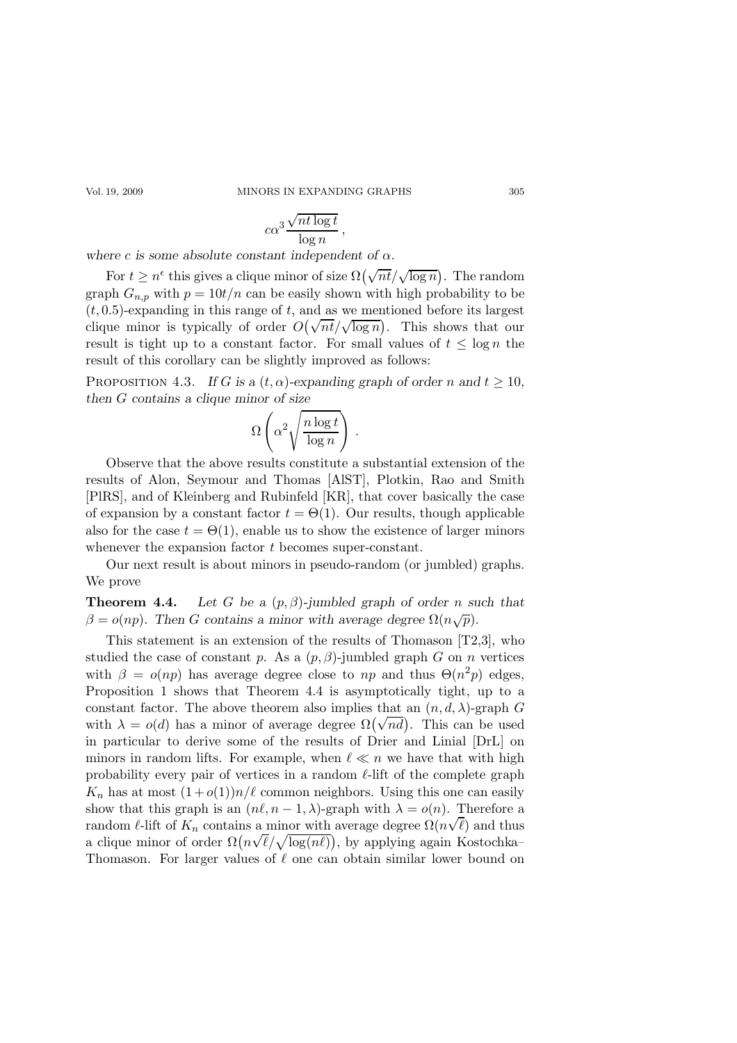Vol. 19, 2009 MINORS IN EXPANDING GRAPHS 305

$$
c\alpha^3 \frac{\sqrt{nt \log t}}{\log n},
$$

where c is some absolute constant independent of  $\alpha$ .

For  $t \geq n^{\epsilon}$  this gives a clique minor of size  $\Omega(\sqrt{nt}/\sqrt{\log n})$ . The random graph  $G_{n,p}$  with  $p = 10t/n$  can be easily shown with high probability to be  $(t, 0.5)$ -expanding in this range of t, and as we mentioned before its largest clique minor is typically of order  $O(\sqrt{nt}/\sqrt{\log n})$ . This shows that our result is tight up to a constant factor. For small values of  $t \leq \log n$  the result of this corollary can be slightly improved as follows:

PROPOSITION 4.3. If G is a  $(t, \alpha)$ -expanding graph of order n and  $t \ge 10$ , then G contains a clique minor of size

$$
\Omega\left(\alpha^2 \sqrt{\frac{n \log t}{\log n}}\right) .
$$

Observe that the above results constitute a substantial extension of the results of Alon, Seymour and Thomas [AlST], Plotkin, Rao and Smith [PlRS], and of Kleinberg and Rubinfeld [KR], that cover basically the case of expansion by a constant factor  $t = \Theta(1)$ . Our results, though applicable also for the case  $t = \Theta(1)$ , enable us to show the existence of larger minors whenever the expansion factor t becomes super-constant.

Our next result is about minors in pseudo-random (or jumbled) graphs. We prove

**Theorem 4.4.** Let G be a  $(p, \beta)$ -jumbled graph of order n such that  $\beta = o(np)$ . Then G contains a minor with average degree  $\Omega(n\sqrt{p})$ .

This statement is an extension of the results of Thomason [T2,3], who studied the case of constant p. As a  $(p, \beta)$ -jumbled graph G on n vertices with  $\beta = o(np)$  has average degree close to np and thus  $\Theta(n^2p)$  edges, Proposition 1 shows that Theorem 4.4 is asymptotically tight, up to a constant factor. The above theorem also implies that an  $(n, d, \lambda)$ -graph G with  $\lambda = o(d)$  has a minor of average degree  $\Omega(\sqrt{nd})$ . This can be used in particular to derive some of the results of Drier and Linial [DrL] on minors in random lifts. For example, when  $\ell \ll n$  we have that with high probability every pair of vertices in a random  $\ell$ -lift of the complete graph  $K_n$  has at most  $(1+o(1))n/\ell$  common neighbors. Using this one can easily show that this graph is an  $(n\ell, n-1, \lambda)$ -graph with  $\lambda = o(n)$ . Therefore a random  $\ell$ -lift of  $K_n$  contains a minor with average degree  $\Omega(n\sqrt{\ell})$  and thus a clique minor of order  $\Omega(n\sqrt{\ell}/\sqrt{\log(n\ell)})$ , by applying again Kostochka– Thomason. For larger values of  $\ell$  one can obtain similar lower bound on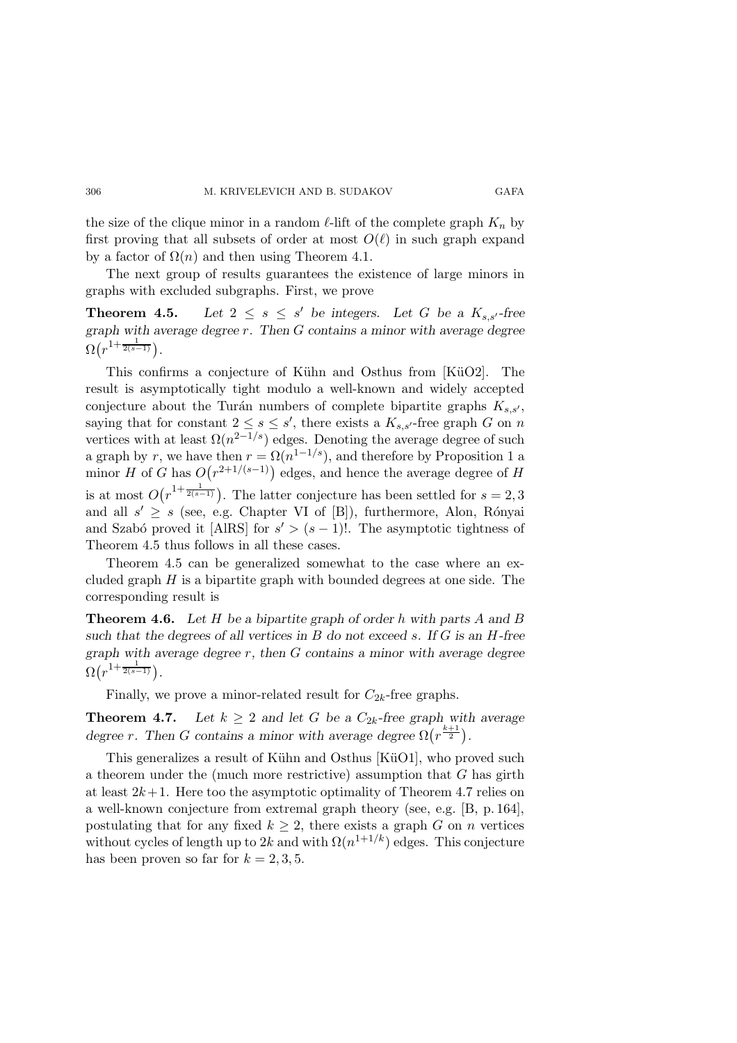the size of the clique minor in a random  $\ell$ -lift of the complete graph  $K_n$  by first proving that all subsets of order at most  $O(\ell)$  in such graph expand by a factor of  $\Omega(n)$  and then using Theorem 4.1.

The next group of results guarantees the existence of large minors in graphs with excluded subgraphs. First, we prove

**Theorem 4.5.** Let  $2 \leq s \leq s'$  be integers. Let G be a  $K_{s,s'}$ -free graph with average degree  $r$ . Then  $G$  contains a minor with average degree  $\Omega(r^{1+\frac{1}{2(s-1)}}).$ 

This confirms a conjecture of Kühn and Osthus from [KüO2]. The result is asymptotically tight modulo a well-known and widely accepted conjecture about the Turán numbers of complete bipartite graphs  $K_{s,s'}$ , saying that for constant  $2 \leq s \leq s'$ , there exists a  $K_{s,s'}$ -free graph G on n vertices with at least  $\Omega(n^{2-1/s})$  edges. Denoting the average degree of such a graph by r, we have then  $r = \Omega(n^{1-1/s})$ , and therefore by Proposition 1 a minor H of G has  $O(r^{2+1/(s-1)})$  edges, and hence the average degree of H is at most  $O(r^{1+\frac{1}{2(s-1)}})$ . The latter conjecture has been settled for  $s=2,3$ and all  $s' \geq s$  (see, e.g. Chapter VI of [B]), furthermore, Alon, Rónyai and Szabó proved it [AlRS] for  $s' > (s - 1)!$ . The asymptotic tightness of Theorem 4.5 thus follows in all these cases.

Theorem 4.5 can be generalized somewhat to the case where an excluded graph  $H$  is a bipartite graph with bounded degrees at one side. The corresponding result is

**Theorem 4.6.** Let H be a bipartite graph of order h with parts A and B such that the degrees of all vertices in  $B$  do not exceed s. If  $G$  is an  $H$ -free graph with average degree  $r$ , then  $G$  contains a minor with average degree  $\Omega(r^{1+\frac{1}{2(s-1)}}).$ 

Finally, we prove a minor-related result for  $C_{2k}$ -free graphs.

**Theorem 4.7.** Let  $k \geq 2$  and let G be a  $C_{2k}$ -free graph with average degree r. Then G contains a minor with average degree  $\Omega(r^{\frac{k+1}{2}})$ .

This generalizes a result of Kühn and Osthus [KüO1], who proved such a theorem under the (much more restrictive) assumption that  $G$  has girth at least  $2k+1$ . Here too the asymptotic optimality of Theorem 4.7 relies on a well-known conjecture from extremal graph theory (see, e.g. [B, p. 164], postulating that for any fixed  $k \geq 2$ , there exists a graph G on n vertices without cycles of length up to 2k and with  $\Omega(n^{1+1/k})$  edges. This conjecture has been proven so far for  $k = 2, 3, 5$ .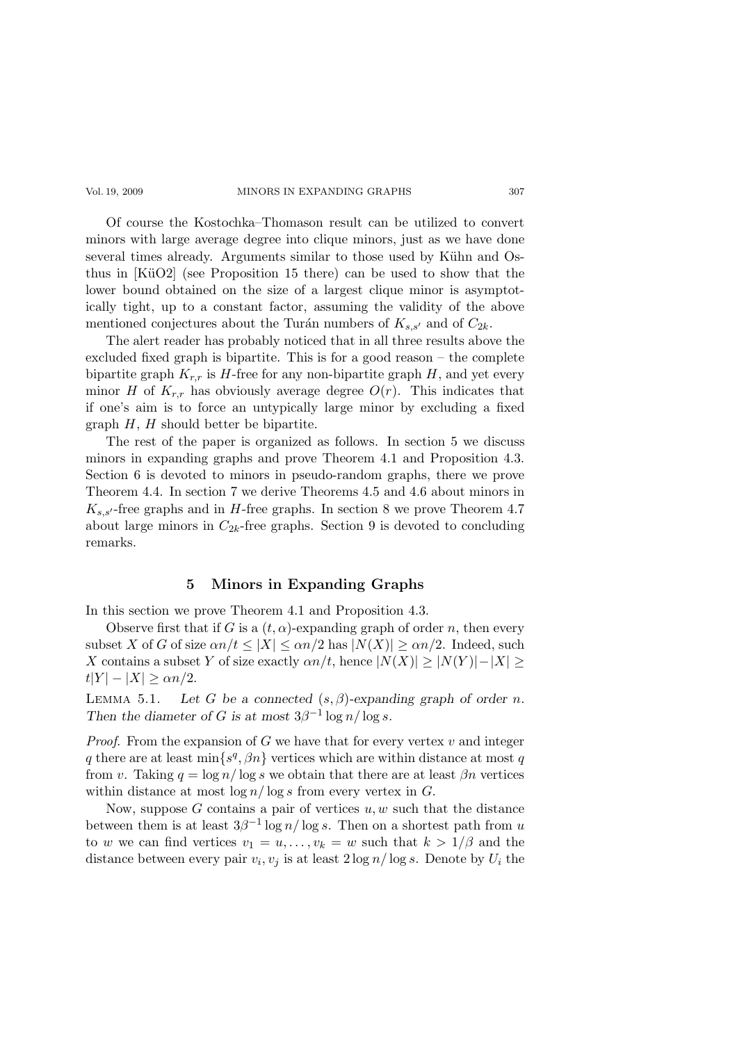#### Vol. 19, 2009 MINORS IN EXPANDING GRAPHS 307

Of course the Kostochka–Thomason result can be utilized to convert minors with large average degree into clique minors, just as we have done several times already. Arguments similar to those used by Kühn and Osthus in  $KüO2$  (see Proposition 15 there) can be used to show that the lower bound obtained on the size of a largest clique minor is asymptotically tight, up to a constant factor, assuming the validity of the above mentioned conjectures about the Turán numbers of  $K_{s,s'}$  and of  $C_{2k}$ .

The alert reader has probably noticed that in all three results above the excluded fixed graph is bipartite. This is for a good reason – the complete bipartite graph  $K_{r,r}$  is H-free for any non-bipartite graph H, and yet every minor H of  $K_{r,r}$  has obviously average degree  $O(r)$ . This indicates that if one's aim is to force an untypically large minor by excluding a fixed graph  $H$ ,  $H$  should better be bipartite.

The rest of the paper is organized as follows. In section 5 we discuss minors in expanding graphs and prove Theorem 4.1 and Proposition 4.3. Section 6 is devoted to minors in pseudo-random graphs, there we prove Theorem 4.4. In section 7 we derive Theorems 4.5 and 4.6 about minors in  $K_{s,s'}$ -free graphs and in H-free graphs. In section 8 we prove Theorem 4.7 about large minors in  $C_{2k}$ -free graphs. Section 9 is devoted to concluding remarks.

### 5 Minors in Expanding Graphs

In this section we prove Theorem 4.1 and Proposition 4.3.

Observe first that if G is a  $(t, \alpha)$ -expanding graph of order n, then every subset X of G of size  $\alpha n/t \leq |X| \leq \alpha n/2$  has  $|N(X)| \geq \alpha n/2$ . Indeed, such X contains a subset Y of size exactly  $\alpha n/t$ , hence  $|N(X)| \ge |N(Y)|-|X| \ge$  $|t|Y| - |X| \geq \alpha n/2.$ 

LEMMA 5.1. Let G be a connected  $(s, \beta)$ -expanding graph of order n. Then the diameter of G is at most  $3\beta^{-1}\log n/\log s$ .

*Proof.* From the expansion of  $G$  we have that for every vertex  $v$  and integer q there are at least  $\min\{s^q, \beta n\}$  vertices which are within distance at most q from v. Taking  $q = \log n / \log s$  we obtain that there are at least  $\beta n$  vertices within distance at most  $\log n / \log s$  from every vertex in G.

Now, suppose  $G$  contains a pair of vertices  $u, w$  such that the distance between them is at least  $3\beta^{-1} \log n / \log s$ . Then on a shortest path from u to w we can find vertices  $v_1 = u, \ldots, v_k = w$  such that  $k > 1/\beta$  and the distance between every pair  $v_i, v_j$  is at least  $2 \log n / \log s$ . Denote by  $U_i$  the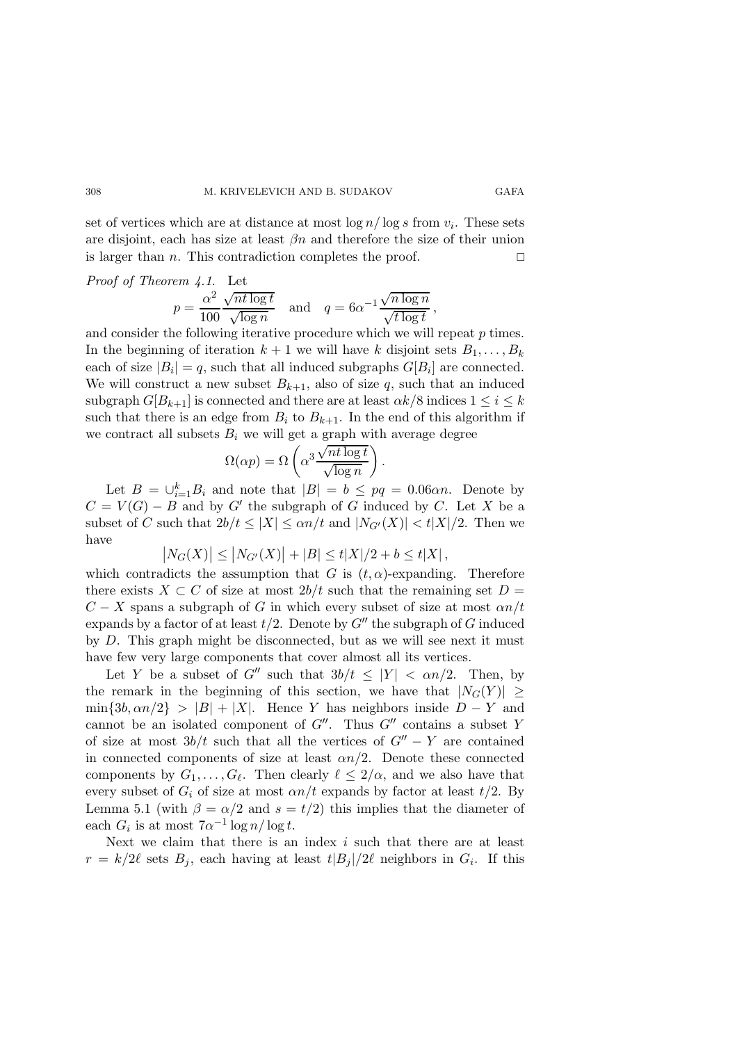set of vertices which are at distance at most  $\log n / \log s$  from  $v_i$ . These sets are disjoint, each has size at least  $\beta n$  and therefore the size of their union is larger than *n*. This contradiction completes the proof.  $\square$ 

Proof of Theorem 4.1. Let  
\n
$$
p = \frac{\alpha^2}{100} \frac{\sqrt{n t \log t}}{\sqrt{\log n}} \quad \text{and} \quad q = 6\alpha^{-1} \frac{\sqrt{n \log n}}{\sqrt{t \log t}},
$$

and consider the following iterative procedure which we will repeat p times. In the beginning of iteration  $k+1$  we will have k disjoint sets  $B_1, \ldots, B_k$ each of size  $|B_i| = q$ , such that all induced subgraphs  $G[B_i]$  are connected. We will construct a new subset  $B_{k+1}$ , also of size q, such that an induced subgraph  $G[B_{k+1}]$  is connected and there are at least  $\alpha k/8$  indices  $1 \leq i \leq k$ such that there is an edge from  $B_i$  to  $B_{k+1}$ . In the end of this algorithm if we contract all subsets  $B_i$  we will get a graph with average degree

$$
\Omega(\alpha p) = \Omega\left(\alpha^3 \frac{\sqrt{n t \log t}}{\sqrt{\log n}}\right).
$$

Let  $B = \bigcup_{i=1}^{k} B_i$  and note that  $|B| = b \le pq = 0.06 \alpha n$ . Denote by  $C = V(G) - B$  and by G' the subgraph of G induced by C. Let X be a subset of C such that  $2b/t \leq |X| \leq \alpha n/t$  and  $|N_{G'}(X)| < t|X|/2$ . Then we have

$$
|N_G(X)| \le |N_{G'}(X)| + |B| \le t|X|/2 + b \le t|X|,
$$

which contradicts the assumption that G is  $(t, \alpha)$ -expanding. Therefore there exists  $X \subset C$  of size at most 2b/t such that the remaining set  $D =$  $C - X$  spans a subgraph of G in which every subset of size at most  $\alpha n/t$ expands by a factor of at least  $t/2$ . Denote by  $G''$  the subgraph of G induced by D. This graph might be disconnected, but as we will see next it must have few very large components that cover almost all its vertices.

Let Y be a subset of G'' such that  $3b/t \leq |Y| < \alpha n/2$ . Then, by the remark in the beginning of this section, we have that  $|N_G(Y)| \ge$  $\min\{3b, \alpha n/2\}$  >  $|B| + |X|$ . Hence Y has neighbors inside  $D - Y$  and cannot be an isolated component of  $G''$ . Thus  $G''$  contains a subset Y of size at most  $3b/t$  such that all the vertices of  $G'' - Y$  are contained in connected components of size at least  $\alpha n/2$ . Denote these connected components by  $G_1, \ldots, G_\ell$ . Then clearly  $\ell \leq 2/\alpha$ , and we also have that every subset of  $G_i$  of size at most  $\alpha n/t$  expands by factor at least  $t/2$ . By Lemma 5.1 (with  $\beta = \alpha/2$  and  $s = t/2$ ) this implies that the diameter of each  $G_i$  is at most  $7\alpha^{-1}\log n/\log t$ .

Next we claim that there is an index  $i$  such that there are at least  $r = k/2\ell$  sets  $B_j$ , each having at least  $t|B_j|/2\ell$  neighbors in  $G_i$ . If this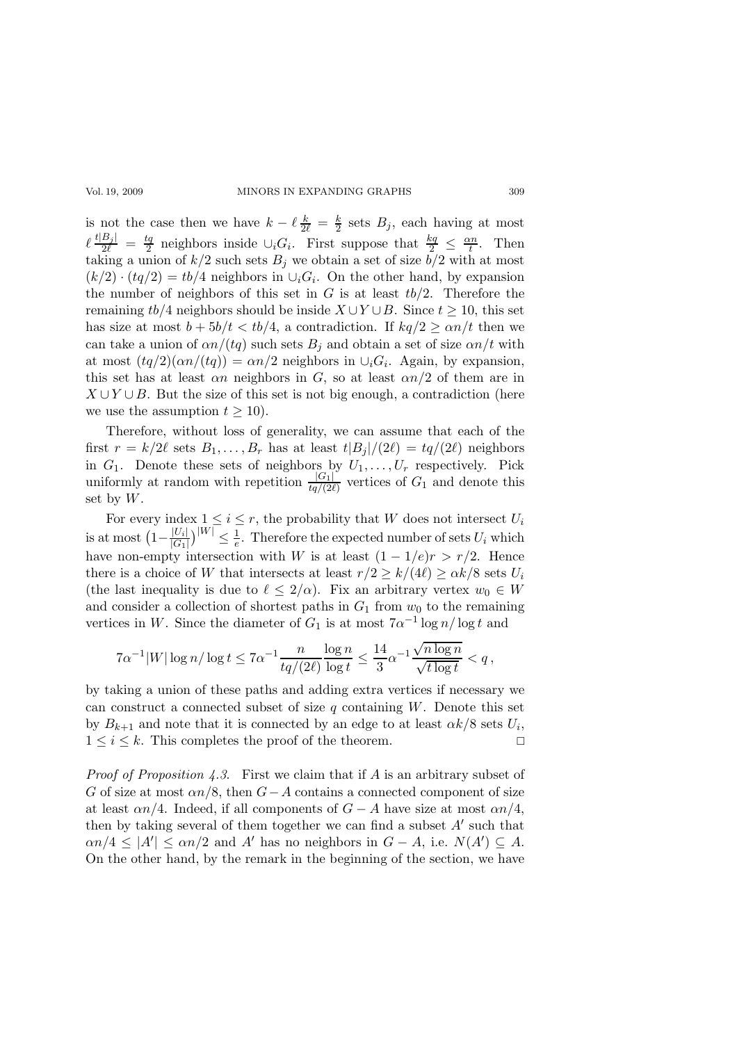### Vol. 19, 2009 MINORS IN EXPANDING GRAPHS 309

is not the case then we have  $k - \ell \frac{k}{2\ell} = \frac{k}{2}$  sets  $B_j$ , each having at most  $\ell \frac{t|B_j|}{2\ell} = \frac{tq}{2}$  $\frac{t_q}{2}$  neighbors inside  $\cup_i G_i$ . First suppose that  $\frac{k_q}{2} \leq \frac{\alpha n}{t}$  $\frac{\varepsilon n}{t}$ . Then taking a union of  $k/2$  such sets  $B_j$  we obtain a set of size  $\overline{b}/2$  with at most  $(k/2) \cdot (tq/2) = tb/4$  neighbors in  $\cup_i G_i$ . On the other hand, by expansion the number of neighbors of this set in  $G$  is at least  $tb/2$ . Therefore the remaining tb/4 neighbors should be inside  $X \cup Y \cup B$ . Since  $t \ge 10$ , this set has size at most  $b + 5b/t < tb/4$ , a contradiction. If  $kq/2 \ge \alpha n/t$  then we can take a union of  $\alpha n/(tq)$  such sets  $B_i$  and obtain a set of size  $\alpha n/t$  with at most  $(tq/2)(\alpha n/(tq)) = \alpha n/2$  neighbors in  $\cup_i G_i$ . Again, by expansion, this set has at least  $\alpha n$  neighbors in G, so at least  $\alpha n/2$  of them are in  $X \cup Y \cup B$ . But the size of this set is not big enough, a contradiction (here we use the assumption  $t \geq 10$ .

Therefore, without loss of generality, we can assume that each of the first  $r = k/2\ell$  sets  $B_1, \ldots, B_r$  has at least  $t|B_j|/(2\ell) = tq/(2\ell)$  neighbors in  $G_1$ . Denote these sets of neighbors by  $U_1, \ldots, U_r$  respectively. Pick uniformly at random with repetition  $\frac{|G_1|}{tq/(2\ell)}$  vertices of  $G_1$  and denote this set by  $W$ .

For every index  $1 \leq i \leq r$ , the probability that W does not intersect  $U_i$ is at most  $\left(1-\frac{|U_i|}{|G_1|}\right)$  $\frac{|U_i|}{|G_1|}\big)^{|W|} \leq \frac{1}{e}$  $\frac{1}{e}$ . Therefore the expected number of sets  $U_i$  which have non-empty intersection with W is at least  $(1 - 1/e)r > r/2$ . Hence there is a choice of W that intersects at least  $r/2 \ge k/(4\ell) \ge \alpha k/8$  sets  $U_i$ (the last inequality is due to  $\ell \leq 2/\alpha$ ). Fix an arbitrary vertex  $w_0 \in W$ and consider a collection of shortest paths in  $G_1$  from  $w_0$  to the remaining vertices in W. Since the diameter of  $G_1$  is at most  $7\alpha^{-1}\log n/\log t$  and

$$
7\alpha^{-1}|W|\log n/\log t\leq 7\alpha^{-1}\frac{n}{tq/(2\ell)}\frac{\log n}{\log t}\leq \frac{14}{3}\alpha^{-1}\frac{\sqrt{n\log n}}{\sqrt{t\log t}}
$$

by taking a union of these paths and adding extra vertices if necessary we can construct a connected subset of size q containing  $W$ . Denote this set by  $B_{k+1}$  and note that it is connected by an edge to at least  $\alpha k/8$  sets  $U_i$ ,  $1 \leq i \leq k$ . This completes the proof of the theorem.

*Proof of Proposition 4.3.* First we claim that if A is an arbitrary subset of G of size at most  $\alpha n/8$ , then  $G-A$  contains a connected component of size at least  $\alpha n/4$ . Indeed, if all components of  $G - A$  have size at most  $\alpha n/4$ , then by taking several of them together we can find a subset  $A'$  such that  $\alpha n/4 \leq |A'| \leq \alpha n/2$  and A' has no neighbors in  $G - A$ , i.e.  $N(A') \subseteq A$ . On the other hand, by the remark in the beginning of the section, we have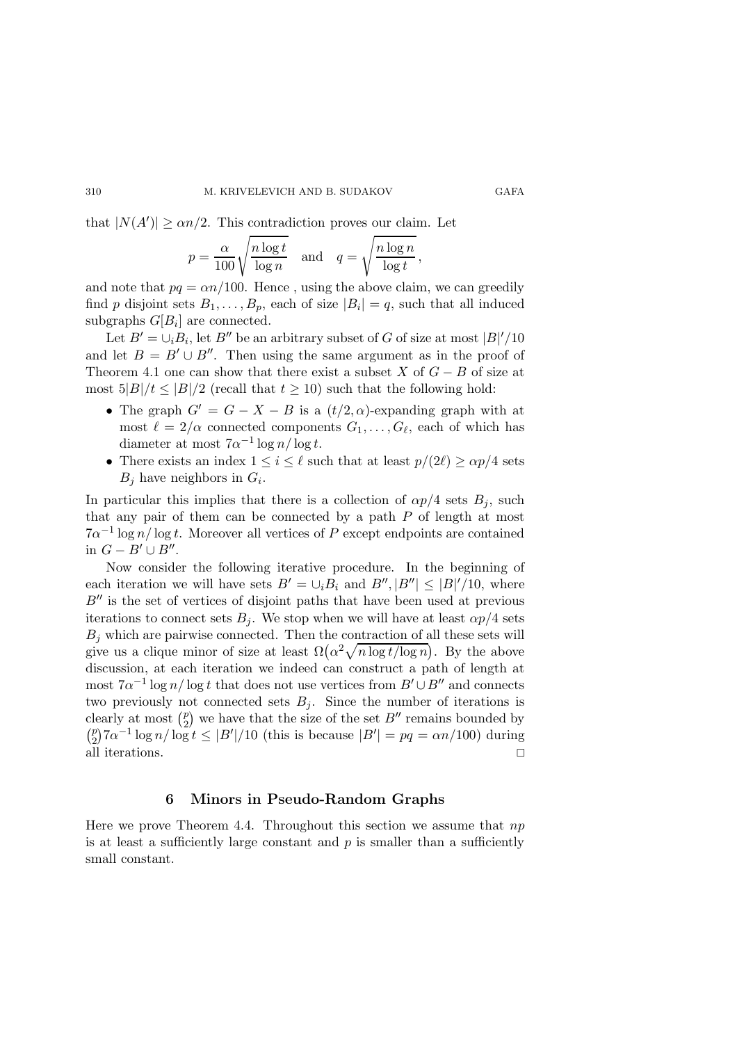that  $|N(A')| \ge \alpha n/2$ . This contradiction proves our claim. Let

$$
p = \frac{\alpha}{100} \sqrt{\frac{n \log t}{\log n}} \quad \text{and} \quad q = \sqrt{\frac{n \log n}{\log t}},
$$

and note that  $pq = \alpha n/100$ . Hence, using the above claim, we can greedily find p disjoint sets  $B_1, \ldots, B_p$ , each of size  $|B_i| = q$ , such that all induced subgraphs  $G[B_i]$  are connected.

Let  $B' = \bigcup_i B_i$ , let  $B''$  be an arbitrary subset of G of size at most  $|B|'/10$ and let  $B = B' \cup B''$ . Then using the same argument as in the proof of Theorem 4.1 one can show that there exist a subset X of  $G - B$  of size at most  $5|B|/t < |B|/2$  (recall that  $t > 10$ ) such that the following hold:

- The graph  $G' = G X B$  is a  $(t/2, \alpha)$ -expanding graph with at most  $\ell = 2/\alpha$  connected components  $G_1, \ldots, G_\ell$ , each of which has diameter at most  $7\alpha^{-1}\log n/\log t$ .
- There exists an index  $1 \leq i \leq \ell$  such that at least  $p/(2\ell) \geq \alpha p/4$  sets  $B_j$  have neighbors in  $G_i$ .

In particular this implies that there is a collection of  $\alpha p/4$  sets  $B_i$ , such that any pair of them can be connected by a path  $P$  of length at most  $7\alpha^{-1}\log n/\log t$ . Moreover all vertices of P except endpoints are contained in  $G - B' \cup B''$ .

Now consider the following iterative procedure. In the beginning of each iteration we will have sets  $B' = \bigcup_i B_i$  and  $B'', |B''| \leq |B|'/10$ , where  $B''$  is the set of vertices of disjoint paths that have been used at previous iterations to connect sets  $B_i$ . We stop when we will have at least  $\alpha p/4$  sets  $B_i$  which are pairwise connected. Then the contraction of all these sets will give us a clique minor of size at least  $\Omega(\alpha^2 \sqrt{n \log t / \log n})$ . By the above discussion, at each iteration we indeed can construct a path of length at most  $7\alpha^{-1}\log n/\log t$  that does not use vertices from  $B' \cup B''$  and connects two previously not connected sets  $B_i$ . Since the number of iterations is clearly at most  $\binom{p}{2}$  $\binom{p}{2}$  we have that the size of the set  $B''$  remains bounded by  $\binom{p}{2}$  $\binom{p}{2}7\alpha^{-1}\log n/\log t \leq |B'|/10$  (this is because  $|B'| = pq = \alpha n/100$ ) during all iterations.

### 6 Minors in Pseudo-Random Graphs

Here we prove Theorem 4.4. Throughout this section we assume that  $np$ is at least a sufficiently large constant and  $p$  is smaller than a sufficiently small constant.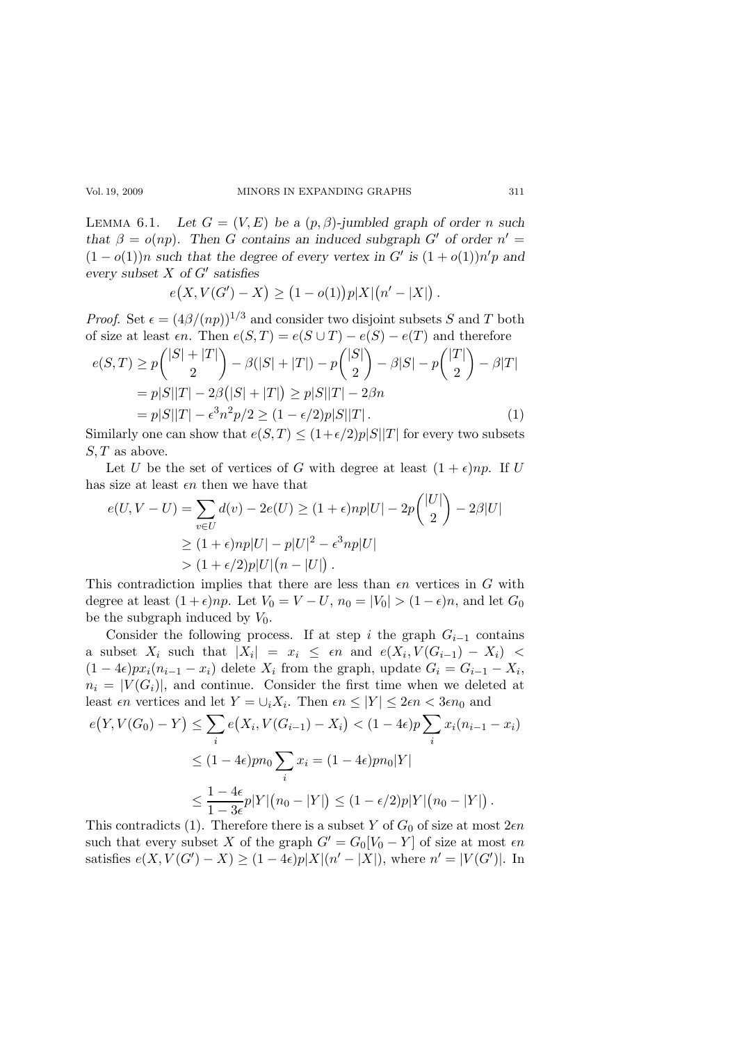LEMMA 6.1. Let  $G = (V, E)$  be a  $(p, \beta)$ -jumbled graph of order n such that  $\beta = o(np)$ . Then G contains an induced subgraph G' of order  $n' =$  $(1 - o(1))n$  such that the degree of every vertex in G' is  $(1 + o(1))n'p$  and every subset  $X$  of  $G'$  satisfies

$$
e(X, V(G') - X) \ge (1 - o(1))p|X|\big(n' - |X|\big).
$$

*Proof.* Set  $\epsilon = (4\beta/(np))^{1/3}$  and consider two disjoint subsets S and T both of size at least  $\epsilon n$ . Then  $e(S,T) = e(S \cup T) - e(S) - e(T)$  and therefore

$$
e(S,T) \ge p\binom{|S| + |T|}{2} - \beta(|S| + |T|) - p\binom{|S|}{2} - \beta|S| - p\binom{|T|}{2} - \beta|T|
$$
  
=  $p|S||T| - 2\beta(|S| + |T|) \ge p|S||T| - 2\beta n$   
=  $p|S||T| - \epsilon^3 n^2 p/2 \ge (1 - \epsilon/2)p|S||T|$ . (1)

Similarly one can show that  $e(S,T) \leq (1+\epsilon/2)p|S||T|$  for every two subsets  $S, T$  as above.

Let U be the set of vertices of G with degree at least  $(1 + \epsilon)np$ . If U has size at least  $\epsilon n$  then we have that

$$
e(U, V - U) = \sum_{v \in U} d(v) - 2e(U) \ge (1 + \epsilon)np|U| - 2p\binom{|U|}{2} - 2\beta|U|
$$
  
 
$$
\ge (1 + \epsilon)np|U| - p|U|^2 - \epsilon^3 np|U|
$$
  
 
$$
> (1 + \epsilon/2)p|U|(n - |U|).
$$

This contradiction implies that there are less than  $\epsilon n$  vertices in G with degree at least  $(1+\epsilon)np$ . Let  $V_0 = V - U$ ,  $n_0 = |V_0| > (1-\epsilon)n$ , and let  $G_0$ be the subgraph induced by  $V_0$ .

Consider the following process. If at step i the graph  $G_{i-1}$  contains a subset  $X_i$  such that  $|X_i| = x_i \leq \epsilon n$  and  $e(X_i, V(G_{i-1}) - X_i)$  $(1-4\epsilon)px_i(n_{i-1}-x_i)$  delete  $X_i$  from the graph, update  $G_i = G_{i-1} - X_i$ ,  $n_i = |V(G_i)|$ , and continue. Consider the first time when we deleted at least  $\epsilon n$  vertices and let  $Y = \bigcup_i X_i$ . Then  $\epsilon n \leq |Y| \leq 2\epsilon n < 3\epsilon n_0$  and

$$
e(Y, V(G_0) - Y) \le \sum_{i} e(X_i, V(G_{i-1}) - X_i) < (1 - 4\epsilon)p \sum_{i} x_i (n_{i-1} - x_i)
$$
\n
$$
\le (1 - 4\epsilon) p n_0 \sum_{i} x_i = (1 - 4\epsilon) p n_0 |Y|
$$
\n
$$
\le \frac{1 - 4\epsilon}{1 - 3\epsilon} p |Y| (n_0 - |Y|) \le (1 - \epsilon/2) p |Y| (n_0 - |Y|).
$$

This contradicts (1). Therefore there is a subset Y of  $G_0$  of size at most  $2\epsilon n$ such that every subset X of the graph  $G' = G_0[V_0 - Y]$  of size at most  $\epsilon n$ satisfies  $e(X, V(G') - X) \ge (1 - 4\epsilon)p|X|(n' - |X|)$ , where  $n' = |V(G')|$ . In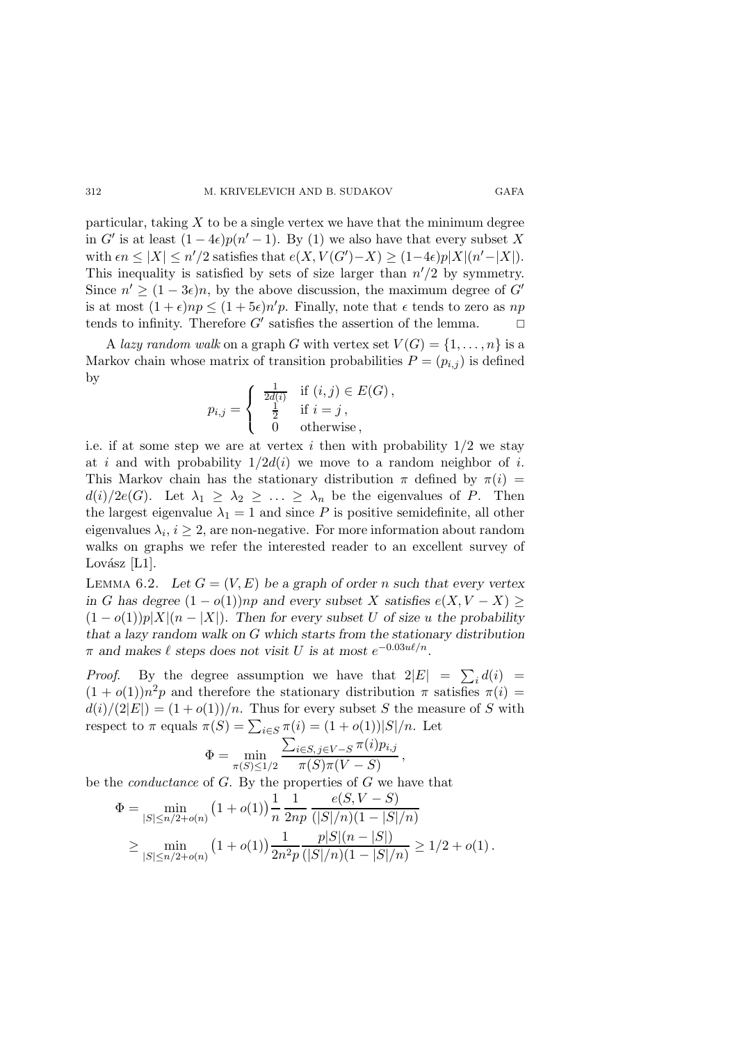particular, taking  $X$  to be a single vertex we have that the minimum degree in G' is at least  $(1-4\epsilon)p(n'-1)$ . By (1) we also have that every subset X with  $\epsilon n \leq |X| \leq n'/2$  satisfies that  $e(X, V(G')-X) \geq (1-4\epsilon)p|X|(n'-|X|)$ . This inequality is satisfied by sets of size larger than  $n'/2$  by symmetry. Since  $n' \ge (1 - 3\epsilon)n$ , by the above discussion, the maximum degree of G' is at most  $(1+\epsilon)np \leq (1+5\epsilon)n'p$ . Finally, note that  $\epsilon$  tends to zero as np tends to infinity. Therefore  $G'$  satisfies the assertion of the lemma.  $\Box$ 

A lazy random walk on a graph G with vertex set  $V(G) = \{1, \ldots, n\}$  is a Markov chain whose matrix of transition probabilities  $P = (p_{i,j})$  is defined by

$$
p_{i,j} = \begin{cases} \frac{1}{2d(i)} & \text{if } (i,j) \in E(G), \\ \frac{1}{2} & \text{if } i = j, \\ 0 & \text{otherwise}, \end{cases}
$$

i.e. if at some step we are at vertex i then with probability  $1/2$  we stay at i and with probability  $1/2d(i)$  we move to a random neighbor of i. This Markov chain has the stationary distribution  $\pi$  defined by  $\pi(i)$  =  $d(i)/2e(G)$ . Let  $\lambda_1 \geq \lambda_2 \geq \ldots \geq \lambda_n$  be the eigenvalues of P. Then the largest eigenvalue  $\lambda_1 = 1$  and since P is positive semidefinite, all other eigenvalues  $\lambda_i, i \geq 2$ , are non-negative. For more information about random walks on graphs we refer the interested reader to an excellent survey of Lovász  $[L1]$ .

LEMMA 6.2. Let  $G = (V, E)$  be a graph of order n such that every vertex in G has degree  $(1 - o(1))np$  and every subset X satisfies  $e(X, V - X)$  $(1 - o(1))p|X|(n - |X|)$ . Then for every subset U of size u the probability that a lazy random walk on G which starts from the stationary distribution  $\pi$  and makes  $\ell$  steps does not visit U is at most  $e^{-0.03u\ell/n}$ .

*Proof.* By the degree assumption we have that  $2|E| = \sum_i d(i) =$  $(1+o(1))n^2p$  and therefore the stationary distribution  $\pi$  satisfies  $\pi(i)$  =  $d(i)/(2|E|) = (1+o(1))/n$ . Thus for every subset S the measure of S with respect to  $\pi$  equals  $\pi(S) = \sum_{i \in S} \pi(i) = (1 + o(1))|S|/n$ . Let

$$
\Phi = \min_{\pi(S) \le 1/2} \frac{\sum_{i \in S, j \in V - S} \pi(i) p_{i,j}}{\pi(S)\pi(V - S)}
$$

,

be the *conductance* of  $G$ . By the properties of  $G$  we have that

$$
\Phi = \min_{|S| \le n/2 + o(n)} (1 + o(1)) \frac{1}{n} \frac{1}{2np} \frac{e(S, V - S)}{(|S|/n)(1 - |S|/n)} \ge \min_{|S| \le n/2 + o(n)} (1 + o(1)) \frac{1}{2n^2p} \frac{p|S|(n - |S|)}{(|S|/n)(1 - |S|/n)} \ge 1/2 + o(1).
$$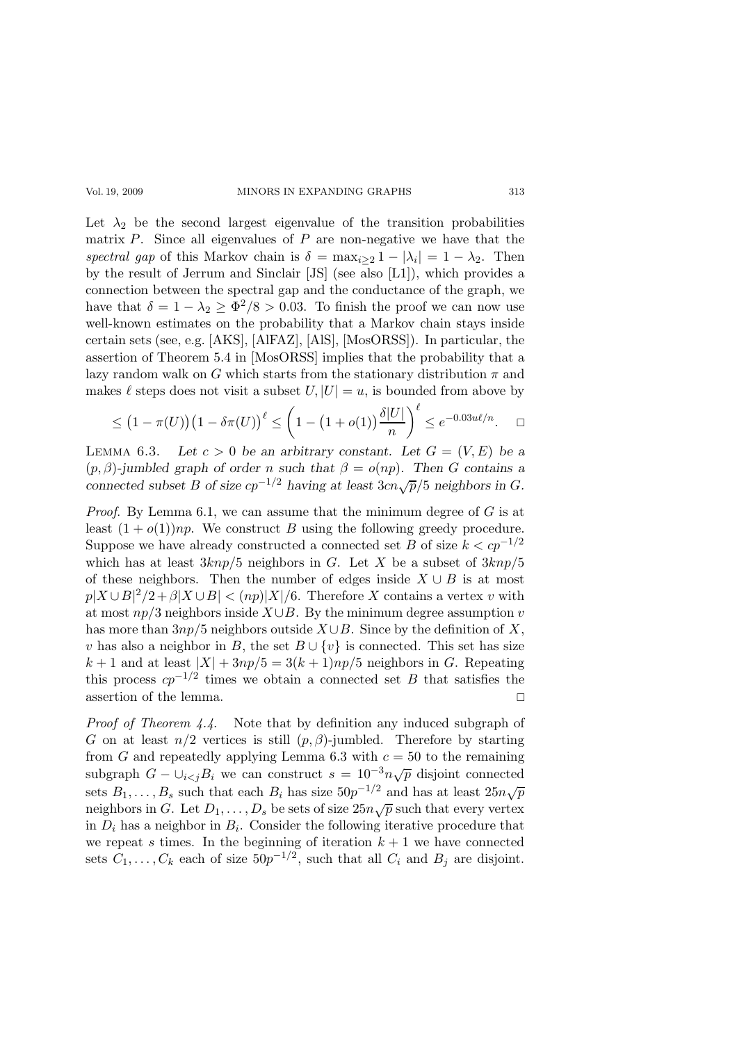#### Vol. 19, 2009 MINORS IN EXPANDING GRAPHS 313

Let  $\lambda_2$  be the second largest eigenvalue of the transition probabilities matrix  $P$ . Since all eigenvalues of  $P$  are non-negative we have that the spectral gap of this Markov chain is  $\delta = \max_{i \geq 2} 1 - |\lambda_i| = 1 - \lambda_2$ . Then by the result of Jerrum and Sinclair [JS] (see also [L1]), which provides a connection between the spectral gap and the conductance of the graph, we have that  $\delta = 1 - \lambda_2 \ge \frac{\Phi^2}{8} > 0.03$ . To finish the proof we can now use well-known estimates on the probability that a Markov chain stays inside certain sets (see, e.g. [AKS], [AlFAZ], [AlS], [MosORSS]). In particular, the assertion of Theorem 5.4 in [MosORSS] implies that the probability that a lazy random walk on G which starts from the stationary distribution  $\pi$  and makes  $\ell$  steps does not visit a subset  $U, |U| = u$ , is bounded from above by

$$
\leq (1 - \pi(U))(1 - \delta\pi(U))^{\ell} \leq \left(1 - (1 + o(1))\frac{\delta|U|}{n}\right)^{\ell} \leq e^{-0.03u\ell/n}.\quad \Box
$$

LEMMA 6.3. Let  $c > 0$  be an arbitrary constant. Let  $G = (V, E)$  be a  $(p, \beta)$ -jumbled graph of order n such that  $\beta = o(np)$ . Then G contains a connected subset B of size  $cp^{-1/2}$  having at least  $3cn\sqrt{p}/5$  neighbors in G.

*Proof.* By Lemma 6.1, we can assume that the minimum degree of  $G$  is at least  $(1 + o(1))np$ . We construct B using the following greedy procedure. Suppose we have already constructed a connected set B of size  $k < cp^{-1/2}$ which has at least  $3knp/5$  neighbors in G. Let X be a subset of  $3knp/5$ of these neighbors. Then the number of edges inside  $X \cup B$  is at most  $p|X \cup B|^2/2 + \beta |X \cup B| < (np)|X|/6$ . Therefore X contains a vertex v with at most  $np/3$  neighbors inside  $X \cup B$ . By the minimum degree assumption v has more than  $3np/5$  neighbors outside  $X \cup B$ . Since by the definition of X, v has also a neighbor in B, the set  $B \cup \{v\}$  is connected. This set has size  $k+1$  and at least  $|X| + 3np/5 = 3(k+1)np/5$  neighbors in G. Repeating this process  $cp^{-1/2}$  times we obtain a connected set B that satisfies the assertion of the lemma.  $\hfill \Box$ 

Proof of Theorem 4.4. Note that by definition any induced subgraph of G on at least  $n/2$  vertices is still  $(p, \beta)$ -jumbled. Therefore by starting from G and repeatedly applying Lemma 6.3 with  $c = 50$  to the remaining subgraph  $G - \bigcup_{i < j} B_i$  we can construct  $s = 10^{-3} n \sqrt{p}$  disjoint connected sets  $B_1, \ldots, B_s$  such that each  $B_i$  has size  $50p^{-1/2}$  and has at least  $25n\sqrt{p}$ neighbors in G. Let  $D_1, \ldots, D_s$  be sets of size  $25n\sqrt{p}$  such that every vertex in  $D_i$  has a neighbor in  $B_i$ . Consider the following iterative procedure that we repeat s times. In the beginning of iteration  $k + 1$  we have connected sets  $C_1, \ldots, C_k$  each of size  $50p^{-1/2}$ , such that all  $C_i$  and  $B_j$  are disjoint.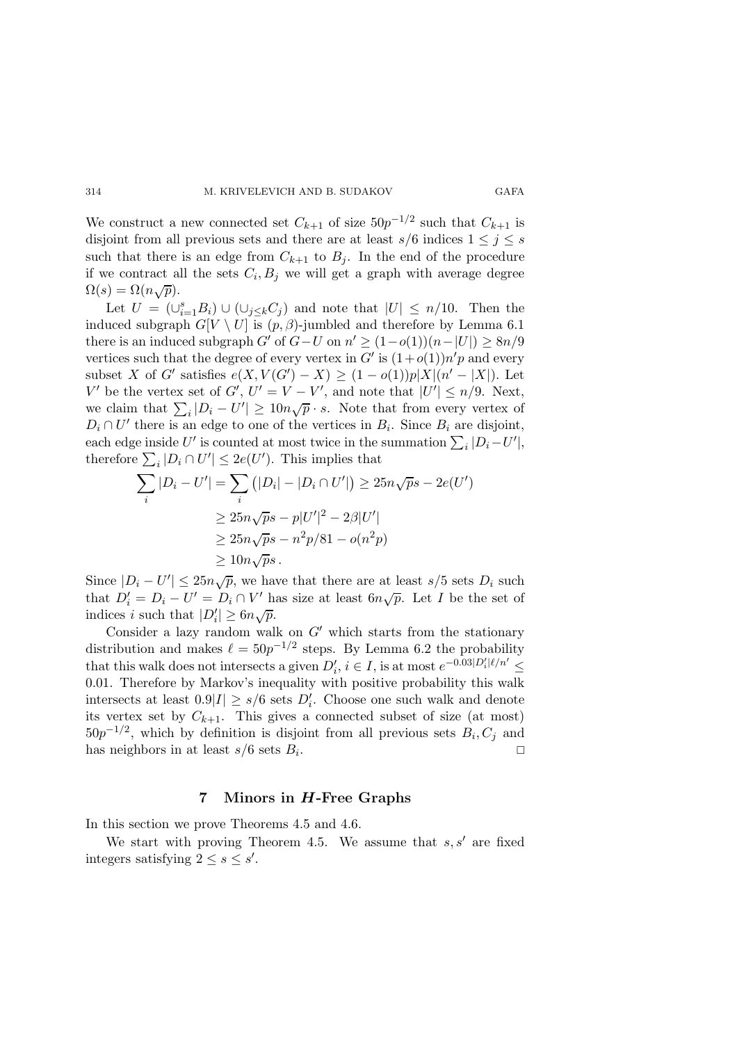We construct a new connected set  $C_{k+1}$  of size  $50p^{-1/2}$  such that  $C_{k+1}$  is disjoint from all previous sets and there are at least  $s/6$  indices  $1 \leq j \leq s$ such that there is an edge from  $C_{k+1}$  to  $B_j$ . In the end of the procedure if we contract all the sets  $C_i, B_j$  we will get a graph with average degree  $\Omega(s) = \Omega(n\sqrt{p}).$ 

Let  $U = (\bigcup_{i=1}^{s} B_i) \cup (\bigcup_{j \leq k} C_j)$  and note that  $|U| \leq n/10$ . Then the induced subgraph  $G[V \setminus U]$  is  $(p, \beta)$ -jumbled and therefore by Lemma 6.1 there is an induced subgraph  $G'$  of  $G-U$  on  $n' \ge (1-o(1))(n-|U|) \ge 8n/9$ vertices such that the degree of every vertex in  $G'$  is  $(1+o(1))n'p$  and every subset X of G' satisfies  $e(X, V(G') - X) \ge (1 - o(1))p|X|(n' - |X|)$ . Let V' be the vertex set of G',  $U' = V - V'$ , and note that  $|U'| \le n/9$ . Next, we claim that  $\sum_i |D_i - U'| \ge 10n\sqrt{p} \cdot s$ . Note that from every vertex of  $D_i \cap U'$  there is an edge to one of the vertices in  $B_i$ . Since  $B_i$  are disjoint, each edge inside U' is counted at most twice in the summation  $\sum_i |D_i - U'|$ , therefore  $\sum_i |D_i \cap U'| \leq 2e(U')$ . This implies that

$$
\sum_{i} |D_i - U'| = \sum_{i} (|D_i| - |D_i \cap U'|) \ge 25n\sqrt{ps} - 2e(U')
$$
  
\n
$$
\ge 25n\sqrt{ps} - p|U'|^2 - 2\beta|U'|
$$
  
\n
$$
\ge 25n\sqrt{ps} - n^2p/81 - o(n^2p)
$$
  
\n
$$
\ge 10n\sqrt{ps}.
$$

Since  $|D_i - U'| \leq 25n\sqrt{p}$ , we have that there are at least s/5 sets  $D_i$  such that  $D'_i = D_i - U' = D_i \cap V'$  has size at least  $6n\sqrt{p}$ . Let I be the set of indices i such that  $|D'_i| \geq 6n\sqrt{p}$ .

Consider a lazy random walk on  $G'$  which starts from the stationary distribution and makes  $\ell = 50p^{-1/2}$  steps. By Lemma 6.2 the probability that this walk does not intersects a given  $D'_i$ ,  $i \in I$ , is at most  $e^{-0.03|D'_i|\ell/n'} \leq$ 0.01. Therefore by Markov's inequality with positive probability this walk intersects at least  $0.9|I| \ge s/6$  sets  $D_i'$ . Choose one such walk and denote its vertex set by  $C_{k+1}$ . This gives a connected subset of size (at most)  $50p^{-1/2}$ , which by definition is disjoint from all previous sets  $B_i, C_j$  and has neighbors in at least  $s/6$  sets  $B_i$ . .

## 7 Minors in  $H$ -Free Graphs

In this section we prove Theorems 4.5 and 4.6.

We start with proving Theorem 4.5. We assume that  $s, s'$  are fixed integers satisfying  $2 \leq s \leq s'$ .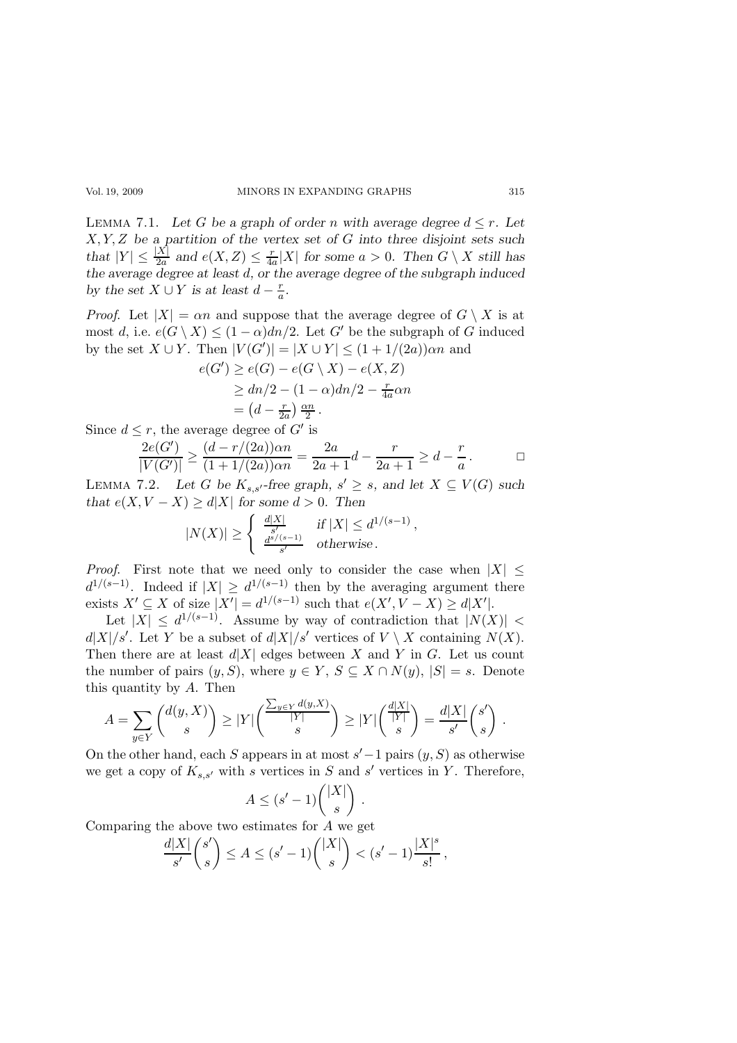LEMMA 7.1. Let G be a graph of order n with average degree  $d \leq r$ . Let  $X, Y, Z$  be a partition of the vertex set of G into three disjoint sets such that  $|Y| \leq \frac{|X|}{2a}$  and  $e(X, Z) \leq \frac{r}{4a}$  $\frac{r}{4a}|X|$  for some  $a > 0$ . Then  $G \setminus X$  still has the average degree at least d, or the average degree of the subgraph induced by the set  $X \cup Y$  is at least  $d - \frac{r}{a}$  $\frac{r}{a}$ .

*Proof.* Let  $|X| = \alpha n$  and suppose that the average degree of  $G \setminus X$  is at most d, i.e.  $e(G \setminus X) \leq (1 - \alpha)dn/2$ . Let G' be the subgraph of G induced by the set  $X \cup Y$ . Then  $|V(G')| = |X \cup Y| \leq (1 + 1/(2a))\alpha n$  and

$$
e(G') \ge e(G) - e(G \setminus X) - e(X, Z)
$$
  
\n
$$
\ge dn/2 - (1 - \alpha)dn/2 - \frac{r}{4a}\alpha n
$$
  
\n
$$
= (d - \frac{r}{2a})\frac{\alpha n}{2}.
$$

Since  $d \leq r$ , the average degree of  $G'$  is

$$
\frac{2e(G')}{|V(G')|} \ge \frac{(d-r/(2a))\alpha n}{(1+1/(2a))\alpha n} = \frac{2a}{2a+1}d - \frac{r}{2a+1} \ge d - \frac{r}{a}.
$$

LEMMA 7.2. Let G be  $K_{s,s'}$ -free graph,  $s' \geq s$ , and let  $X \subseteq V(G)$  such that  $e(X, V - X) \ge d|X|$  for some  $d > 0$ . Then

$$
|N(X)| \ge \begin{cases} \frac{d|X|}{s'} & \text{if } |X| \le d^{1/(s-1)}, \\ \frac{d^{s/(s-1)}}{s'} & \text{otherwise.} \end{cases}
$$

*Proof.* First note that we need only to consider the case when  $|X| \leq$  $d^{1/(s-1)}$ . Indeed if  $|X| \geq d^{1/(s-1)}$  then by the averaging argument there exists  $X' \subseteq X$  of size  $|X'| = d^{1/(s-1)}$  such that  $e(X', V - X) \ge d|X'|$ .

Let  $|X| \leq d^{1/(s-1)}$ . Assume by way of contradiction that  $|N(X)| <$  $d|X|/s'$ . Let Y be a subset of  $d|X|/s'$  vertices of  $V \setminus X$  containing  $N(X)$ . Then there are at least  $d|X|$  edges between X and Y in G. Let us count the number of pairs  $(y, S)$ , where  $y \in Y$ ,  $S \subseteq X \cap N(y)$ ,  $|S| = s$ . Denote this quantity by  $A$ . Then

$$
A = \sum_{y \in Y} \binom{d(y, X)}{s} \ge |Y| \binom{\frac{\sum_{y \in Y} d(y, X)}{|Y|}}{s} \ge |Y| \binom{\frac{d|X|}{|Y|}}{s} = \frac{d|X|}{s'} \binom{s'}{s}.
$$

On the other hand, each S appears in at most  $s'-1$  pairs  $(y, S)$  as otherwise we get a copy of  $K_{s,s'}$  with s vertices in S and s' vertices in Y. Therefore,

$$
A \le (s'-1) \binom{|X|}{s}
$$

.

Comparing the above two estimates for A we get

$$
\frac{d|X|}{s'}\binom{s'}{s} \le A \le (s'-1)\binom{|X|}{s} < (s'-1)\frac{|X|^s}{s!},
$$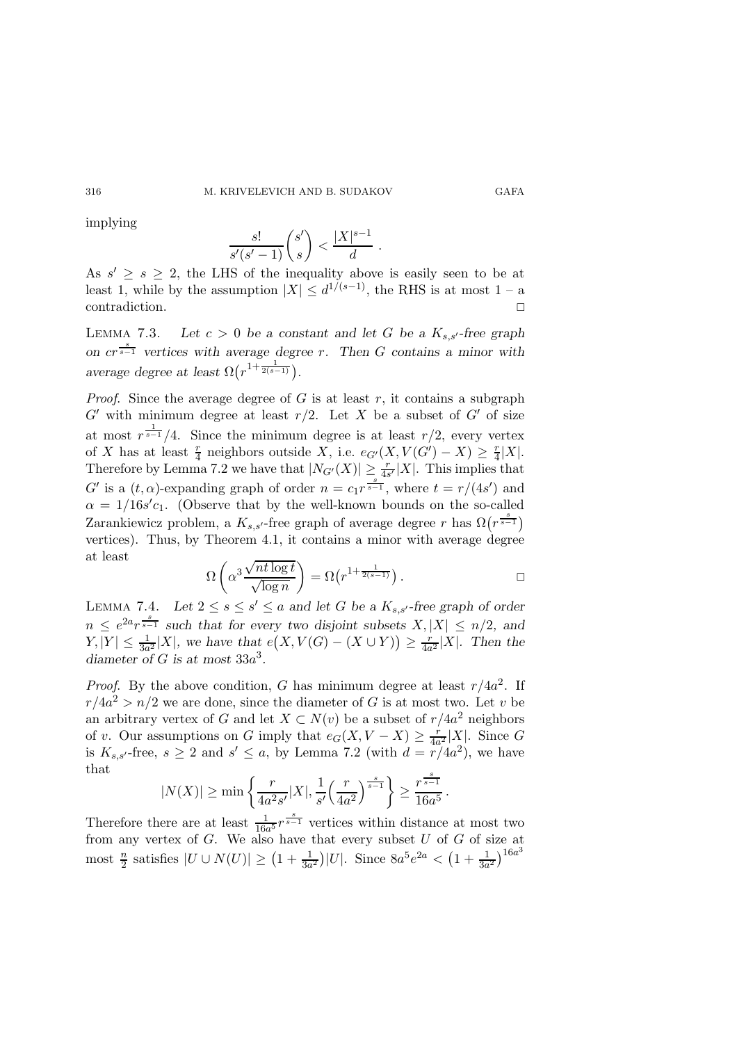implying

$$
\frac{s!}{s'(s'-1)}\binom{s'}{s} < \frac{|X|^{s-1}}{d} \; .
$$

As  $s' \geq s \geq 2$ , the LHS of the inequality above is easily seen to be at least 1, while by the assumption  $|X| \leq d^{1/(s-1)}$ , the RHS is at most 1 – a contradiction.

LEMMA 7.3. Let  $c > 0$  be a constant and let G be a  $K_{s,s'}$ -free graph on  $cr^{\frac{s}{s-1}}$  vertices with average degree r. Then G contains a minor with average degree at least  $\Omega(r^{1+\frac{1}{2(s-1)}})$ .

*Proof.* Since the average degree of G is at least  $r$ , it contains a subgraph  $G'$  with minimum degree at least  $r/2$ . Let X be a subset of  $G'$  of size at most  $r^{\frac{1}{s-1}}/4$ . Since the minimum degree is at least  $r/2$ , every vertex of X has at least  $\frac{r}{4}$  neighbors outside X, i.e.  $e_{G'}(X, V(G') - X) \geq \frac{r}{4}$  $\frac{r}{4}|X|.$ Therefore by Lemma 7.2 we have that  $|N_{G'}(X)| \geq \frac{r}{4s'}|X|$ . This implies that G' is a  $(t, \alpha)$ -expanding graph of order  $n = c_1 r^{\frac{s}{s-1}}$ , where  $t = r/(4s')$  and  $\alpha = 1/16s'c_1$ . (Observe that by the well-known bounds on the so-called Zarankiewicz problem, a  $K_{s,s'}$ -free graph of average degree r has  $\Omega(r^{\frac{s}{s-1}})$ vertices). Thus, by Theorem 4.1, it contains a minor with average degree at least

$$
\Omega\left(\alpha^3 \frac{\sqrt{n t \log t}}{\sqrt{\log n}}\right) = \Omega\left(r^{1 + \frac{1}{2(s-1)}}\right).
$$

LEMMA 7.4. Let  $2 \leq s \leq s' \leq a$  and let G be a  $K_{s,s'}$ -free graph of order  $n \leq e^{2a} r^{\frac{s}{s-1}}$  such that for every two disjoint subsets  $X, |X| \leq n/2$ , and  $|Y| \leq \frac{1}{3a^2}|X|$ , we have that  $e(X, V(G) - (X \cup Y)) \geq \frac{r}{4a^2}|X|$ . Then the diameter of G is at most  $33a^3$ .

*Proof.* By the above condition, G has minimum degree at least  $r/4a^2$ . If  $r/4a^2 > n/2$  we are done, since the diameter of G is at most two. Let v be an arbitrary vertex of G and let  $X \subset N(v)$  be a subset of  $r/4a^2$  neighbors of v. Our assumptions on G imply that  $e_G(X, V - X) \geq \frac{r}{4a}$  $\frac{r}{4a^2}|X|$ . Since G is  $K_{s,s'}$ -free,  $s \geq 2$  and  $s' \leq a$ , by Lemma 7.2 (with  $d = \frac{r}{4a^2}$ ), we have that s

$$
|N(X)| \ge \min\left\{\frac{r}{4a^2s'}|X|, \frac{1}{s'}\left(\frac{r}{4a^2}\right)^{\frac{s}{s-1}}\right\} \ge \frac{r^{\frac{s}{s-1}}}{16a^5}.
$$

Therefore there are at least  $\frac{1}{16a^5}r^{\frac{s}{s-1}}$  vertices within distance at most two from any vertex of  $G$ . We also have that every subset  $U$  of  $G$  of size at most  $\frac{n}{2}$  satisfies  $|U \cup N(U)| \ge (1 + \frac{1}{3a^2})|U|$ . Since  $8a^5e^{2a} < (1 + \frac{1}{3a^2})^{16a^3}$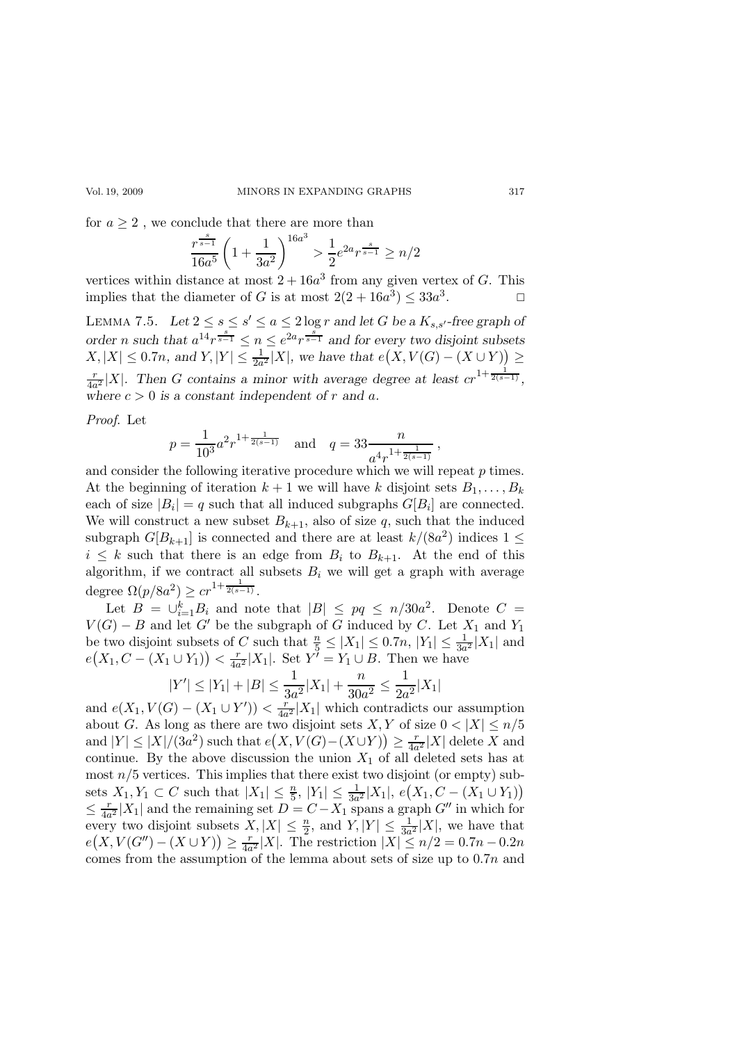#### Vol. 19, 2009 MINORS IN EXPANDING GRAPHS 317

for  $a \geq 2$ , we conclude that there are more than

$$
\frac{r^{\frac{s}{s-1}}}{16a^5} \left(1 + \frac{1}{3a^2}\right)^{16a^3} > \frac{1}{2} e^{2a} r^{\frac{s}{s-1}} \ge n/2
$$

vertices within distance at most  $2 + 16a^3$  from any given vertex of G. This implies that the diameter of G is at most  $2(2 + 16a^3) \leq 33a^3$ . — П

LEMMA 7.5. Let  $2 \leq s \leq s' \leq a \leq 2 \log r$  and let G be a  $K_{s,s'}$ -free graph of order n such that  $a^{14}r^{\frac{s}{s-1}} \leq n \leq e^{2a}r^{\frac{s}{s-1}}$  and for every two disjoint subsets  $X, |X| \leq 0.7n$ , and  $Y, |Y| \leq \frac{1}{2a^2}|X|$ , we have that  $e(X, V(G) - (X \cup Y)) \geq$ r  $\frac{r}{4a^2}|X|$ . Then G contains a minor with average degree at least  $cr^{1+\frac{1}{2(s-1)}},$ where  $c > 0$  is a constant independent of r and a.

Proof. Let

$$
p = \frac{1}{10^3} a^2 r^{1 + \frac{1}{2(s-1)}}
$$
 and  $q = 33 \frac{n}{a^4 r^{1 + \frac{1}{2(s-1)}}}$ ,

and consider the following iterative procedure which we will repeat  $p$  times. At the beginning of iteration  $k + 1$  we will have k disjoint sets  $B_1, \ldots, B_k$ each of size  $|B_i| = q$  such that all induced subgraphs  $G[B_i]$  are connected. We will construct a new subset  $B_{k+1}$ , also of size q, such that the induced subgraph  $G[B_{k+1}]$  is connected and there are at least  $k/(8a^2)$  indices  $1 \leq$  $i \leq k$  such that there is an edge from  $B_i$  to  $B_{k+1}$ . At the end of this algorithm, if we contract all subsets  $B_i$  we will get a graph with average degree  $\Omega(p/8a^2) \geq c r^{1+\frac{1}{2(s-1)}}$ .

Let  $B = \bigcup_{i=1}^{k} B_i$  and note that  $|B| \le pq \le n/30a^2$ . Denote  $C =$  $V(G) - B$  and let G' be the subgraph of G induced by C. Let  $X_1$  and  $Y_1$ be two disjoint subsets of C such that  $\frac{n}{5} \leq |X_1| \leq 0.7n$ ,  $|Y_1| \leq \frac{1}{3a^2}|X_1|$  and  $e(X_1, C - (X_1 \cup Y_1)) < \frac{r}{4a}$  $\frac{r}{4a^2}|X_1|$ . Set  $Y^{\prime} = Y_1 \cup B$ . Then we have

$$
|Y'| \le |Y_1| + |B| \le \frac{1}{3a^2}|X_1| + \frac{n}{30a^2} \le \frac{1}{2a^2}|X_1|
$$

and  $e(X_1, V(G) - (X_1 \cup Y')) < \frac{r}{4a}$  $\frac{r}{4a^2}|X_1|$  which contradicts our assumption about G. As long as there are two disjoint sets X, Y of size  $0 < |X| \leq n/5$ and  $|Y| \leq |X|/(3a^2)$  such that  $e(X, V(G)-(X\cup Y)) \geq \frac{r}{4a}$  $\frac{r}{4a^2}|X|$  delete X and continue. By the above discussion the union  $X_1$  of all deleted sets has at most  $n/5$  vertices. This implies that there exist two disjoint (or empty) subsets  $X_1, Y_1 \subset C$  such that  $|X_1| \leq \frac{n}{5}$ ,  $|Y_1| \leq \frac{1}{3a^2}|X_1|$ ,  $e(X_1, C - (X_1 \cup Y_1))$  $\leq \frac{r}{4a^2}|X_1|$  and the remaining set  $D = C - X_1$  spans a graph  $G''$  in which for every two disjoint subsets  $X, |X| \leq \frac{n}{2}$ , and  $Y, |Y| \leq \frac{1}{3a^2}|X|$ , we have that  $e(X, V(G'') - (X \cup Y)) \ge \frac{r}{4a^2}|X|$ . The restriction  $|X| \le n/2 = 0.7n - 0.2n$ comes from the assumption of the lemma about sets of size up to  $0.7n$  and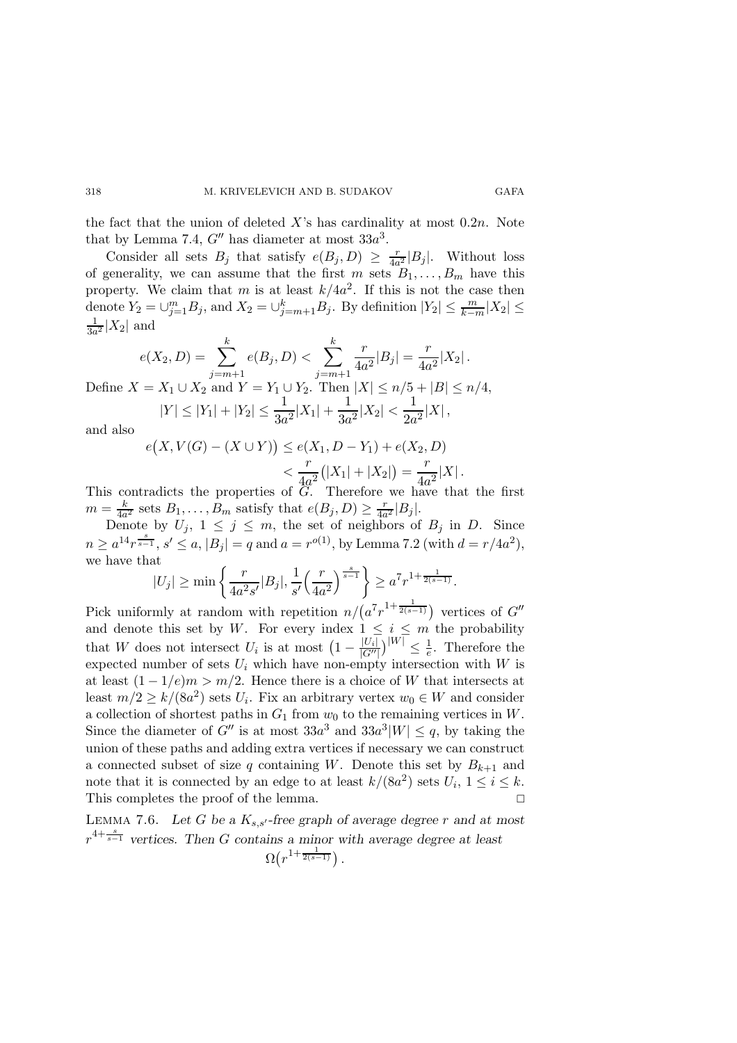the fact that the union of deleted  $X$ 's has cardinality at most  $0.2n$ . Note that by Lemma 7.4,  $G''$  has diameter at most  $33a^3$ .

Consider all sets  $B_j$  that satisfy  $e(B_j, D) \geq \frac{r}{4a}$  $\frac{r}{4a^2}|B_j|$ . Without loss of generality, we can assume that the first m sets  $B_1, \ldots, B_m$  have this property. We claim that m is at least  $k/4a^2$ . If this is not the case then denote  $Y_2 = \bigcup_{j=1}^m B_j$ , and  $X_2 = \bigcup_{j=m+1}^k B_j$ . By definition  $|Y_2| \leq \frac{m}{k-m}|X_2| \leq$ 1  $\frac{1}{3a^2}|X_2|$  and

$$
e(X_2, D) = \sum_{j=m+1}^{k} e(B_j, D) < \sum_{j=m+1}^{k} \frac{r}{4a^2} |B_j| = \frac{r}{4a^2} |X_2|.
$$
\nDefine  $X = X_1 \cup X_2$  and  $Y = Y_1 \cup Y_2$ . Then  $|X| \le n/5 + |B| \le n/4$ ,  $|Y| \le |Y_1| + |Y_2| \le \frac{1}{3a^2} |X_1| + \frac{1}{3a^2} |X_2| < \frac{1}{2a^2} |X|$ ,

and also

$$
e(X, V(G) - (X \cup Y)) \le e(X_1, D - Y_1) + e(X_2, D)
$$
  

$$
< \frac{r}{4a^2} (|X_1| + |X_2|) = \frac{r}{4a^2} |X|.
$$

This contradicts the properties of G. Therefore we have that the first  $m = \frac{k}{4a^2}$  sets  $B_1, \ldots, B_m$  satisfy that  $e(B_j, D) \geq \frac{r}{4a^2} |B_j|$ .

Denote by  $U_j$ ,  $1 \leq j \leq m$ , the set of neighbors of  $B_j$  in D. Since  $n \ge a^{14} r^{\frac{s}{s-1}}, s' \le a, |B_j| = q$  and  $a = r^{o(1)}$ , by Lemma 7.2 (with  $d = r/4a^2$ ), we have that

$$
|U_j| \ge \min\left\{\frac{r}{4a^2s'}|B_j|, \frac{1}{s'}\left(\frac{r}{4a^2}\right)^{\frac{s}{s-1}}\right\} \ge a^7r^{1+\frac{1}{2(s-1)}}.
$$

Pick uniformly at random with repetition  $n/(a^7 r^{1+\frac{1}{2(s-1)}})$  vertices of G'' and denote this set by W. For every index  $1 \leq i \leq m$  the probability that W does not intersect  $U_i$  is at most  $\left(1 - \frac{|U_i|}{|G''|}\right)^{|W|} \leq \frac{1}{e}$ . Therefore the expected number of sets  $U_i$  which have non-empty intersection with  $W$  is at least  $(1 - 1/e)m > m/2$ . Hence there is a choice of W that intersects at least  $m/2 \ge k/(8a^2)$  sets  $U_i$ . Fix an arbitrary vertex  $w_0 \in W$  and consider a collection of shortest paths in  $G_1$  from  $w_0$  to the remaining vertices in W. Since the diameter of  $G''$  is at most  $33a^3$  and  $33a^3|W| \leq q$ , by taking the union of these paths and adding extra vertices if necessary we can construct a connected subset of size q containing W. Denote this set by  $B_{k+1}$  and note that it is connected by an edge to at least  $k/(8a^2)$  sets  $U_i$ ,  $1 \le i \le k$ . This completes the proof of the lemma.

LEMMA 7.6. Let G be a  $K_{s,s'}$ -free graph of average degree r and at most  $r^{4+\frac{s}{s-1}}$  vertices. Then G contains a minor with average degree at least  $\Omega(r^{1+\frac{1}{2(s-1)}})$  .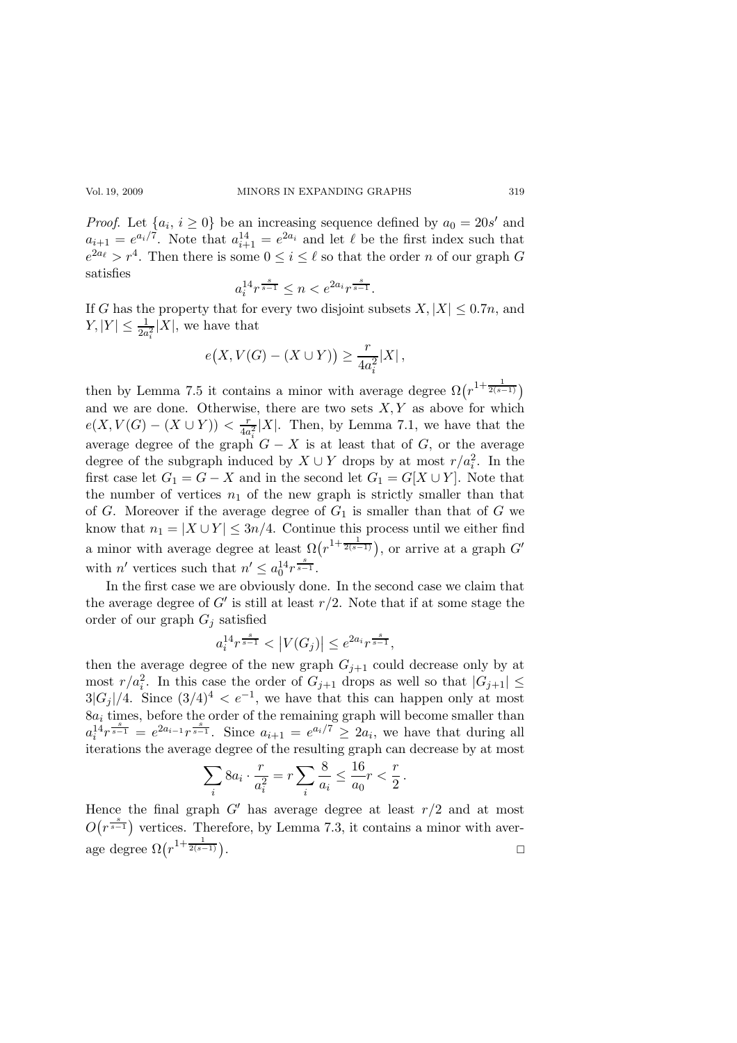*Proof.* Let  $\{a_i, i \geq 0\}$  be an increasing sequence defined by  $a_0 = 20s'$  and  $a_{i+1} = e^{a_i/7}$ . Note that  $a_{i+1}^{14} = e^{2a_i}$  and let  $\ell$  be the first index such that  $e^{2a_{\ell}} > r^4$ . Then there is some  $0 \leq i \leq \ell$  so that the order *n* of our graph G satisfies

$$
a_i^{14} r^{\frac{s}{s-1}} \le n < e^{2a_i} r^{\frac{s}{s-1}}.
$$

If G has the property that for every two disjoint subsets  $X, |X| \leq 0.7n$ , and  $|Y| \leq \frac{1}{2a_i^2}|X|$ , we have that

$$
e(X, V(G) - (X \cup Y)) \ge \frac{r}{4a_i^2}|X|,
$$

then by Lemma 7.5 it contains a minor with average degree  $\Omega(r^{1+\frac{1}{2(s-1)}})$ and we are done. Otherwise, there are two sets  $X, Y$  as above for which  $e(X, V(G) - (X \cup Y)) < \frac{r}{4a}$  $\frac{r}{4a_i^2}|X|$ . Then, by Lemma 7.1, we have that the average degree of the graph  $G - X$  is at least that of G, or the average degree of the subgraph induced by  $X \cup Y$  drops by at most  $r/a_i^2$ . In the first case let  $G_1 = G - X$  and in the second let  $G_1 = G[X \cup Y]$ . Note that the number of vertices  $n_1$  of the new graph is strictly smaller than that of G. Moreover if the average degree of  $G_1$  is smaller than that of G we know that  $n_1 = |X \cup Y| \leq 3n/4$ . Continue this process until we either find a minor with average degree at least  $\Omega(r^{1+\frac{1}{2(s-1)}})$ , or arrive at a graph  $G'$ with *n'* vertices such that  $n' \leq a_0^{14} r^{\frac{s}{s-1}}$ .

In the first case we are obviously done. In the second case we claim that the average degree of  $G'$  is still at least  $r/2$ . Note that if at some stage the order of our graph  $G_i$  satisfied

$$
a_i^{14}r^{\frac{s}{s-1}} < |V(G_j)| \le e^{2a_i}r^{\frac{s}{s-1}},
$$

then the average degree of the new graph  $G_{i+1}$  could decrease only by at most  $r/a_i^2$ . In this case the order of  $G_{j+1}$  drops as well so that  $|G_{j+1}| \leq$  $3|G_j|/4$ . Since  $(3/4)^4 < e^{-1}$ , we have that this can happen only at most  $8a_i$  times, before the order of the remaining graph will become smaller than  $a_i^{14}r^{\frac{s}{s-1}} = e^{2a_{i-1}}r^{\frac{s}{s-1}}$ . Since  $a_{i+1} = e^{a_i/7} \geq 2a_i$ , we have that during all iterations the average degree of the resulting graph can decrease by at most

$$
\sum_{i} 8a_i \cdot \frac{r}{a_i^2} = r \sum_{i} \frac{8}{a_i} \le \frac{16}{a_0} r < \frac{r}{2} \, .
$$

Hence the final graph  $G'$  has average degree at least  $r/2$  and at most  $O(r^{\frac{s}{s-1}})$  vertices. Therefore, by Lemma 7.3, it contains a minor with average degree  $\Omega(r^{1+\frac{1}{2(s-1)}})$ .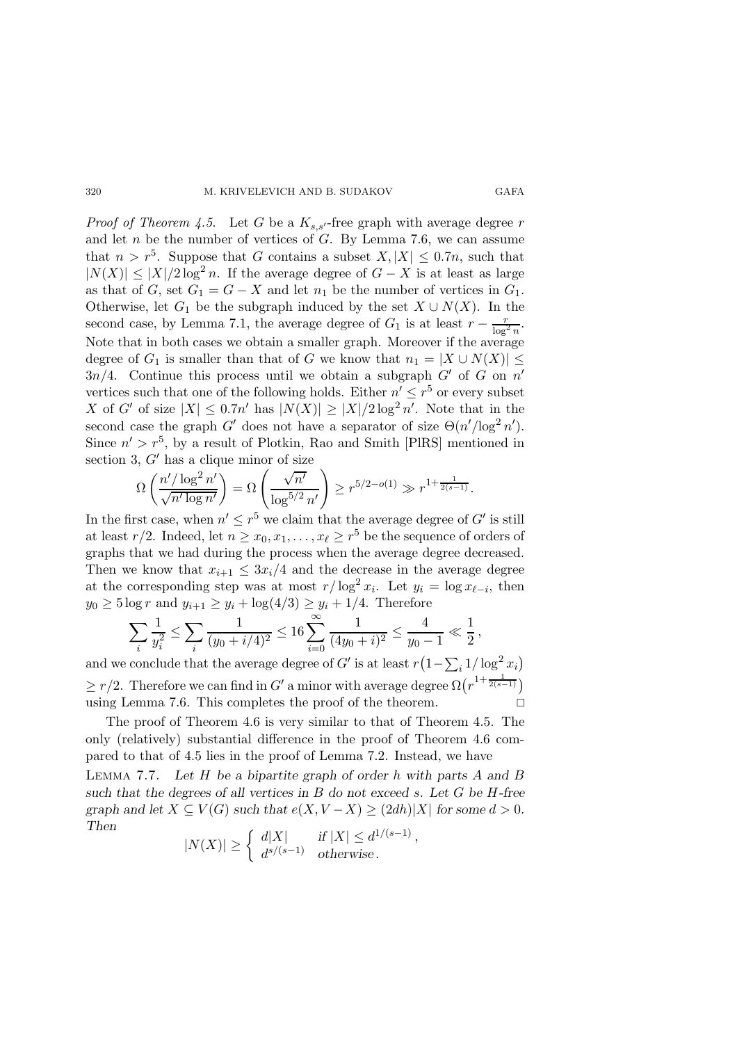#### 320 M. KRIVELEVICH AND B. SUDAKOV GAFA

*Proof of Theorem 4.5.* Let G be a  $K_{s,s}$ -free graph with average degree r and let n be the number of vertices of  $G$ . By Lemma 7.6, we can assume that  $n > r^5$ . Suppose that G contains a subset  $X, |X| \leq 0.7n$ , such that  $|N(X)| \leq |X|/2 \log^2 n$ . If the average degree of  $G - X$  is at least as large as that of G, set  $G_1 = G - X$  and let  $n_1$  be the number of vertices in  $G_1$ . Otherwise, let  $G_1$  be the subgraph induced by the set  $X \cup N(X)$ . In the second case, by Lemma 7.1, the average degree of  $G_1$  is at least  $r - \frac{r}{\log^2 n}$ . Note that in both cases we obtain a smaller graph. Moreover if the average degree of  $G_1$  is smaller than that of G we know that  $n_1 = |X \cup N(X)| \le$  $3n/4$ . Continue this process until we obtain a subgraph  $G'$  of G on  $n'$ vertices such that one of the following holds. Either  $n' \leq r^5$  or every subset X of G' of size  $|X| \leq 0.7n'$  has  $|N(X)| \geq |X|/2 \log^2 n'$ . Note that in the second case the graph G' does not have a separator of size  $\Theta(n'/\log^2 n')$ . Since  $n' > r^5$ , by a result of Plotkin, Rao and Smith [PlRS] mentioned in section 3,  $G'$  has a clique minor of size

$$
\Omega\left(\frac{n'/\log^2 n'}{\sqrt{n'\log n'}}\right) = \Omega\left(\frac{\sqrt{n'}}{\log^{5/2} n'}\right) \ge r^{5/2 - o(1)} \gg r^{1 + \frac{1}{2(s-1)}}.
$$

In the first case, when  $n' \leq r^5$  we claim that the average degree of G' is still at least  $r/2$ . Indeed, let  $n \ge x_0, x_1, \ldots, x_\ell \ge r^5$  be the sequence of orders of graphs that we had during the process when the average degree decreased. Then we know that  $x_{i+1} \leq 3x_i/4$  and the decrease in the average degree at the corresponding step was at most  $r/\log^2 x_i$ . Let  $y_i = \log x_{\ell-i}$ , then  $y_0 \ge 5 \log r$  and  $y_{i+1} \ge y_i + \log(4/3) \ge y_i + 1/4$ . Therefore

$$
\sum_{i} \frac{1}{y_i^2} \le \sum_{i} \frac{1}{(y_0 + i/4)^2} \le 16 \sum_{i=0}^{\infty} \frac{1}{(4y_0 + i)^2} \le \frac{4}{y_0 - 1} \ll \frac{1}{2},
$$

and we conclude that the average degree of  $G'$  is at least  $r(1-\sum_i 1/\log^2 x_i)$  $\geq r/2$ . Therefore we can find in G' a minor with average degree  $\Omega(r^{1+\frac{1}{2(s-1)}})$ using Lemma 7.6. This completes the proof of the theorem.  $\Box$ 

The proof of Theorem 4.6 is very similar to that of Theorem 4.5. The only (relatively) substantial difference in the proof of Theorem 4.6 compared to that of 4.5 lies in the proof of Lemma 7.2. Instead, we have

LEMMA 7.7. Let  $H$  be a bipartite graph of order  $h$  with parts  $A$  and  $B$ such that the degrees of all vertices in  $B$  do not exceed  $s$ . Let  $G$  be  $H$ -free graph and let  $X \subseteq V(G)$  such that  $e(X, V - X) \geq (2dh)|X|$  for some  $d > 0$ . Then  $1/(s-1)$ ,

$$
|N(X)| \ge \begin{cases} d|X| & \text{if } |X| \le d^{1/(s-1)} \\ d^{s/(s-1)} & \text{otherwise.} \end{cases}
$$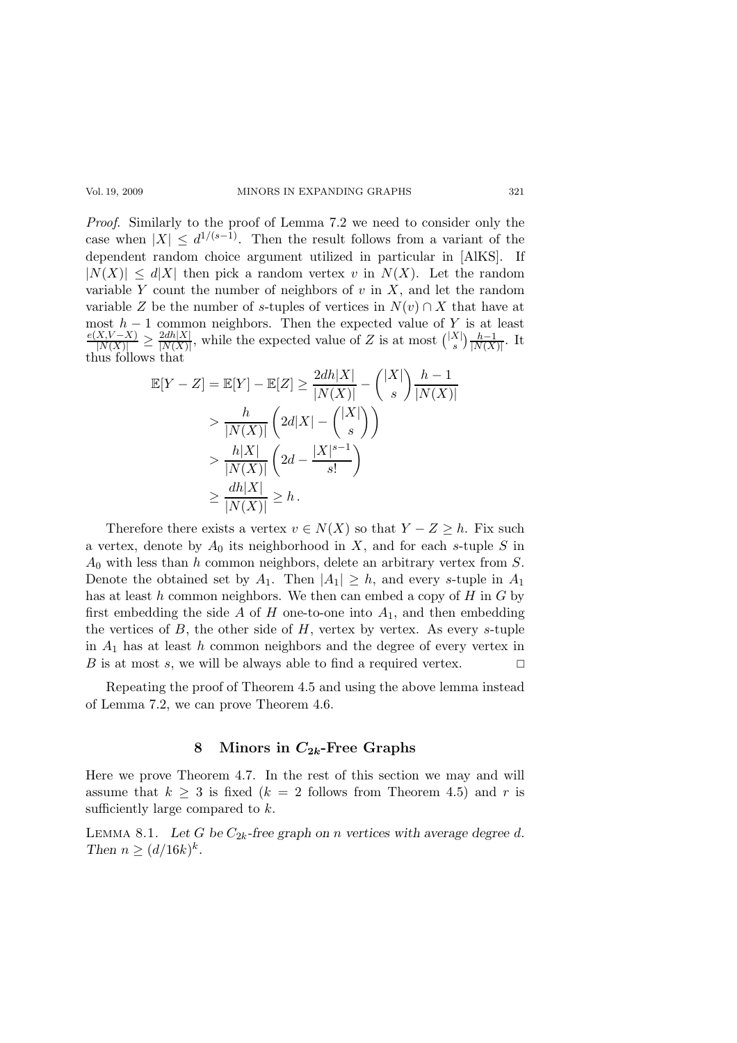Proof. Similarly to the proof of Lemma 7.2 we need to consider only the case when  $|X| \leq d^{1/(s-1)}$ . Then the result follows from a variant of the dependent random choice argument utilized in particular in [AlKS]. If  $|N(X)| \leq d|X|$  then pick a random vertex v in  $N(X)$ . Let the random variable Y count the number of neighbors of  $v$  in  $X$ , and let the random variable Z be the number of s-tuples of vertices in  $N(v) \cap X$  that have at most  $h-1$  common neighbors. Then the expected value of Y is at least  $\frac{e(X,V-X)}{|N(X)|} \geq \frac{2dh|X|}{|N(X)|}$  $\frac{2dh[X]}{|N(X)|}$ , while the expected value of Z is at most  $\binom{|X|}{s}$  $_{s}^{X}$ | $\frac{h-1}{\vert N(X)}$  $\frac{h-1}{|N(X)|}$ . It thus follows that

$$
\mathbb{E}[Y - Z] = \mathbb{E}[Y] - \mathbb{E}[Z] \ge \frac{2dh|X|}{|N(X)|} - \binom{|X|}{s} \frac{h-1}{|N(X)|}
$$
  
> 
$$
\frac{h}{|N(X)|} \left(2d|X| - \binom{|X|}{s}\right)
$$
  
> 
$$
\frac{h|X|}{|N(X)|} \left(2d - \frac{|X|^{s-1}}{s!}\right)
$$
  
> 
$$
\frac{dh|X|}{|N(X)|} \ge h.
$$

Therefore there exists a vertex  $v \in N(X)$  so that  $Y - Z \geq h$ . Fix such a vertex, denote by  $A_0$  its neighborhood in X, and for each s-tuple S in  $A_0$  with less than h common neighbors, delete an arbitrary vertex from S. Denote the obtained set by  $A_1$ . Then  $|A_1| \geq h$ , and every s-tuple in  $A_1$ has at least  $h$  common neighbors. We then can embed a copy of  $H$  in  $G$  by first embedding the side  $A$  of  $H$  one-to-one into  $A_1$ , and then embedding the vertices of  $B$ , the other side of  $H$ , vertex by vertex. As every s-tuple in  $A_1$  has at least h common neighbors and the degree of every vertex in B is at most s, we will be always able to find a required vertex.  $\Box$ 

Repeating the proof of Theorem 4.5 and using the above lemma instead of Lemma 7.2, we can prove Theorem 4.6.

### 8 Minors in  $C_{2k}$ -Free Graphs

Here we prove Theorem 4.7. In the rest of this section we may and will assume that  $k \geq 3$  is fixed  $(k = 2$  follows from Theorem 4.5) and r is sufficiently large compared to  $k$ .

LEMMA 8.1. Let G be  $C_{2k}$ -free graph on n vertices with average degree d. Then  $n \geq (d/16k)^k$ .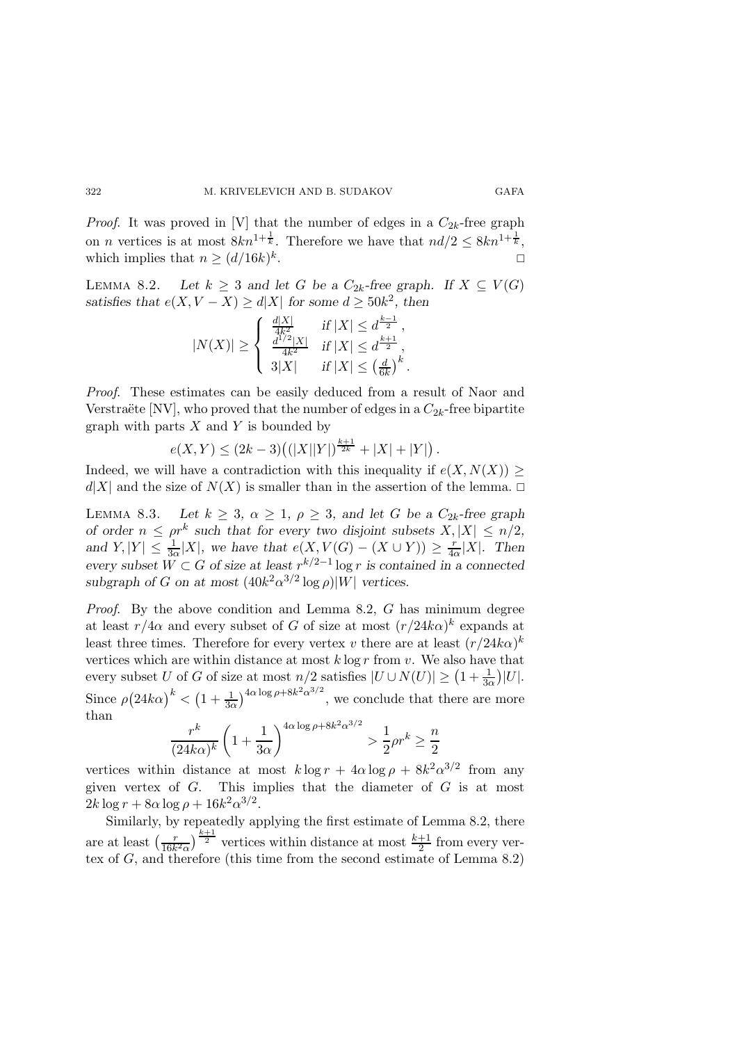*Proof.* It was proved in [V] that the number of edges in a  $C_{2k}$ -free graph on *n* vertices is at most  $8kn^{1+\frac{1}{k}}$ . Therefore we have that  $nd/2 \leq 8kn^{1+\frac{1}{k}}$ , which implies that  $n \geq (d/16k)^k$ . **Example 2** in the second contract of  $\Box$ 

LEMMA 8.2. Let  $k \geq 3$  and let G be a  $C_{2k}$ -free graph. If  $X \subseteq V(G)$ satisfies that  $e(X, V - X) \ge d|X|$  for some  $d \ge 50k^2$ , then

$$
|N(X)| \ge \begin{cases} \frac{d|X|}{4k^2} & \text{if } |X| \le d^{\frac{k-1}{2}},\\ \frac{d^{1/2}|X|}{4k^2} & \text{if } |X| \le d^{\frac{k+1}{2}},\\ 3|X| & \text{if } |X| \le \left(\frac{d}{6k}\right)^k. \end{cases}
$$

Proof. These estimates can be easily deduced from a result of Naor and Verstraëte [NV], who proved that the number of edges in a  $C_{2k}$ -free bipartite graph with parts  $X$  and  $Y$  is bounded by

$$
e(X,Y) \le (2k-3) \big( (|X||Y|)^{\frac{k+1}{2k}} + |X| + |Y| \big).
$$

Indeed, we will have a contradiction with this inequality if  $e(X, N(X)) \ge$  $d|X|$  and the size of  $N(X)$  is smaller than in the assertion of the lemma.  $\Box$ 

LEMMA 8.3. Let  $k \geq 3$ ,  $\alpha \geq 1$ ,  $\rho \geq 3$ , and let G be a  $C_{2k}$ -free graph of order  $n \leq \rho r^k$  such that for every two disjoint subsets  $X, |X| \leq n/2$ , and  $Y, |Y| \leq \frac{1}{3\alpha}|X|$ , we have that  $e(X, V(G) - (X \cup Y)) \geq \frac{r}{4\alpha}$  $\frac{r}{4\alpha}|X|$ . Then every subset  $W \subset G$  of size at least  $r^{k/2-1} \log r$  is contained in a connected subgraph of G on at most  $(40k^2\alpha^{3/2} \log \rho)|W|$  vertices.

Proof. By the above condition and Lemma 8.2, G has minimum degree at least  $r/4\alpha$  and every subset of G of size at most  $(r/24k\alpha)^k$  expands at least three times. Therefore for every vertex v there are at least  $(r/24k\alpha)^k$ vertices which are within distance at most  $k \log r$  from  $v$ . We also have that every subset U of G of size at most  $n/2$  satisfies  $|U \cup N(U)| \ge (1 + \frac{1}{3\alpha})|U|$ . Since  $\rho (24k\alpha)^k < (1 + \frac{1}{3\alpha})^{4\alpha \log \rho + 8k^2\alpha^{3/2}}$ , we conclude that there are more than

$$
\frac{r^k}{(24k\alpha)^k} \left(1 + \frac{1}{3\alpha}\right)^{4\alpha \log \rho + 8k^2 \alpha^{3/2}} > \frac{1}{2}\rho r^k \ge \frac{n}{2}
$$

vertices within distance at most  $k \log r + 4\alpha \log \rho + 8k^2 \alpha^{3/2}$  from any given vertex of  $G$ . This implies that the diameter of  $G$  is at most  $2k \log r + 8\alpha \log \rho + 16k^2 \alpha^{3/2}.$ 

Similarly, by repeatedly applying the first estimate of Lemma 8.2, there are at least  $\left(\frac{r}{16k}\right)$  $\frac{r}{16k^2\alpha}$   $\frac{k+1}{2}$  vertices within distance at most  $\frac{k+1}{2}$  from every vertex of G, and therefore (this time from the second estimate of Lemma 8.2)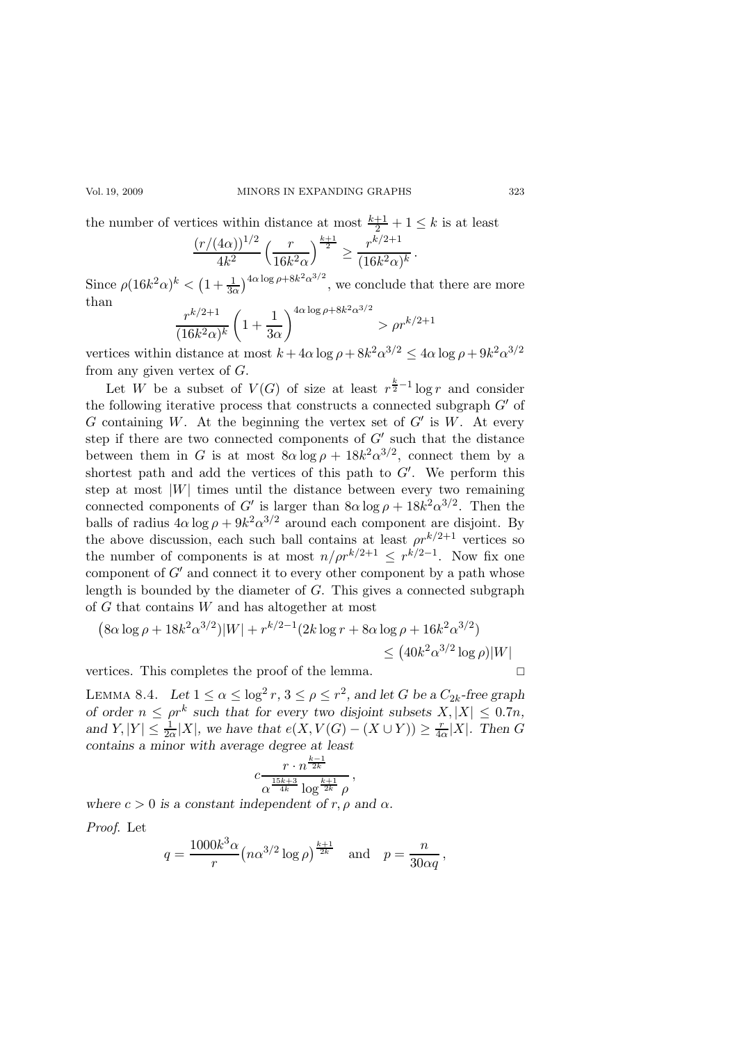the number of vertices within distance at most  $\frac{k+1}{2} + 1 \leq k$  is at least

$$
\frac{(r/(4\alpha))^{1/2}}{4k^2} \left(\frac{r}{16k^2\alpha}\right)^{\frac{k+1}{2}} \ge \frac{r^{k/2+1}}{(16k^2\alpha)^k}.
$$

Since  $\rho (16k^2 \alpha)^k < (1 + \frac{1}{3\alpha})^{4\alpha \log \rho + 8k^2 \alpha^{3/2}}$ , we conclude that there are more than 3/2

$$
\frac{r^{k/2+1}}{(16k^2\alpha)^k} \left(1 + \frac{1}{3\alpha}\right)^{4\alpha \log \rho + 8k^2 \alpha^{3/2}} > \rho r^{k/2+1}
$$

vertices within distance at most  $k + 4\alpha \log \rho + 8k^2 \alpha^{3/2} \le 4\alpha \log \rho + 9k^2 \alpha^{3/2}$ from any given vertex of  $G$ .

Let W be a subset of  $V(G)$  of size at least  $r^{\frac{k}{2}-1} \log r$  and consider the following iterative process that constructs a connected subgraph  $G'$  of G containing W. At the beginning the vertex set of  $G'$  is W. At every step if there are two connected components of  $G'$  such that the distance between them in G is at most  $8\alpha \log \rho + 18k^2 \alpha^{3/2}$ , connect them by a shortest path and add the vertices of this path to  $G'$ . We perform this step at most  $|W|$  times until the distance between every two remaining connected components of G' is larger than  $8\alpha \log \rho + 18k^2 \alpha^{3/2}$ . Then the balls of radius  $4\alpha \log \rho + 9k^2 \alpha^{3/2}$  around each component are disjoint. By the above discussion, each such ball contains at least  $\rho r^{k/2+1}$  vertices so the number of components is at most  $n/pr^{k/2+1} \leq r^{k/2-1}$ . Now fix one component of  $G'$  and connect it to every other component by a path whose length is bounded by the diameter of G. This gives a connected subgraph of G that contains W and has altogether at most

$$
(8\alpha \log \rho + 18k^2 \alpha^{3/2})|W| + r^{k/2 - 1} (2k \log r + 8\alpha \log \rho + 16k^2 \alpha^{3/2})
$$
  
\$\leq (40k^2 \alpha^{3/2} \log \rho)|W|

vertices. This completes the proof of the lemma.

LEMMA 8.4. Let  $1 \leq \alpha \leq \log^2 r$ ,  $3 \leq \rho \leq r^2$ , and let G be a  $C_{2k}$ -free graph of order  $n \leq \rho r^k$  such that for every two disjoint subsets  $X, |X| \leq 0.7n$ , and  $Y, |Y| \leq \frac{1}{2\alpha}|X|$ , we have that  $e(X, V(G) - (X \cup Y)) \geq \frac{r}{4\alpha}$  $\frac{r}{4\alpha}|X|$ . Then G contains a minor with average degree at least

$$
c \frac{r \cdot n^{\frac{k-1}{2k}}}{\alpha^{\frac{15k+3}{4k}} \log^{\frac{k+1}{2k}} \rho},
$$

where  $c > 0$  is a constant independent of r,  $\rho$  and  $\alpha$ .

Proof. Let

$$
q = \frac{1000k^3 \alpha}{r} (n\alpha^{3/2} \log \rho)^{\frac{k+1}{2k}}
$$
 and  $p = \frac{n}{30\alpha q}$ ,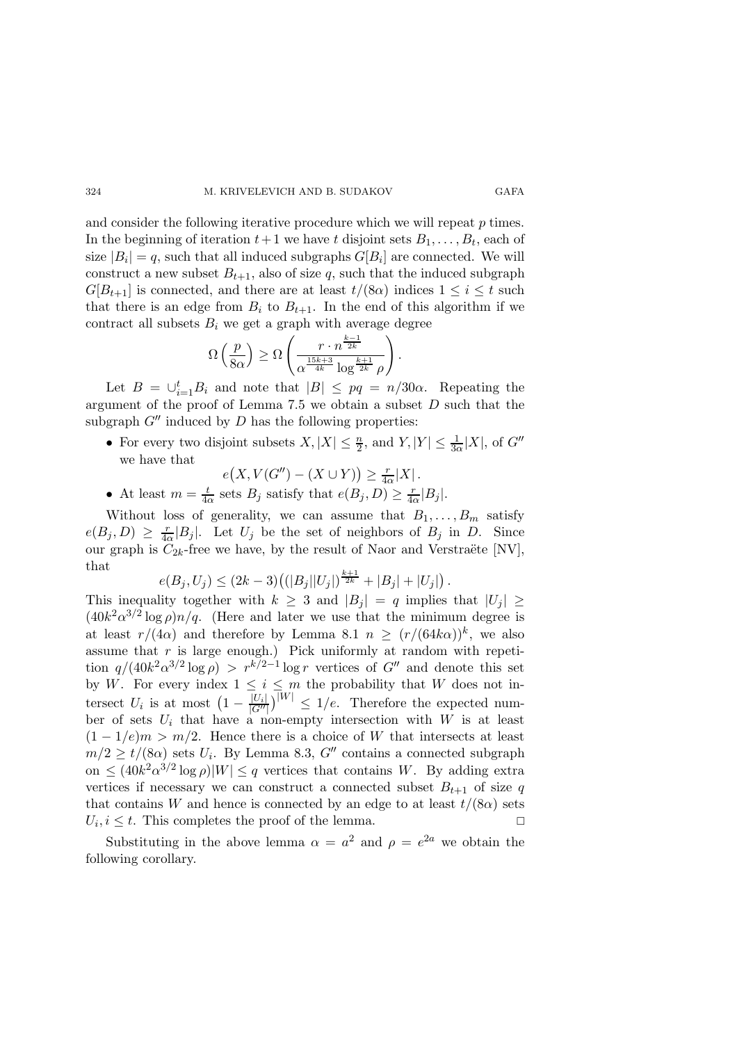and consider the following iterative procedure which we will repeat  $p$  times. In the beginning of iteration  $t+1$  we have t disjoint sets  $B_1, \ldots, B_t$ , each of size  $|B_i| = q$ , such that all induced subgraphs  $G[B_i]$  are connected. We will construct a new subset  $B_{t+1}$ , also of size q, such that the induced subgraph  $G[B_{t+1}]$  is connected, and there are at least  $t/(8\alpha)$  indices  $1 \leq i \leq t$  such that there is an edge from  $B_i$  to  $B_{t+1}$ . In the end of this algorithm if we contract all subsets  $B_i$  we get a graph with average degree

$$
\Omega\left(\frac{p}{8\alpha}\right) \ge \Omega\left(\frac{r \cdot n^{\frac{k-1}{2k}}}{\alpha^{\frac{15k+3}{4k}} \log^{\frac{k+1}{2k}} \rho}\right).
$$

Let  $B = \bigcup_{i=1}^{t} B_i$  and note that  $|B| \le pq = n/30\alpha$ . Repeating the argument of the proof of Lemma 7.5 we obtain a subset  $D$  such that the subgraph  $G''$  induced by D has the following properties:

• For every two disjoint subsets  $X, |X| \leq \frac{n}{2}$ , and  $Y, |Y| \leq \frac{1}{3\alpha}|X|$ , of  $G''$ we have that

$$
e(X, V(G'') - (X \cup Y)) \ge \frac{r}{4\alpha}|X|.
$$

• At least  $m=\frac{t}{4a}$  $\frac{t}{4\alpha}$  sets  $B_j$  satisfy that  $e(B_j, D) \geq \frac{r}{4\alpha}$  $\frac{r}{4\alpha}|B_j|.$ 

Without loss of generality, we can assume that  $B_1, \ldots, B_m$  satisfy  $e(B_j,D) \geq \frac{r}{4c}$  $\frac{r}{4\alpha}|B_j|$ . Let  $U_j$  be the set of neighbors of  $B_j$  in D. Since our graph is  $C_{2k}$ -free we have, by the result of Naor and Verstraëte [NV], that

$$
e(B_j, U_j) \le (2k-3) \big( (|B_j||U_j|)^{\frac{k+1}{2k}} + |B_j| + |U_j| \big).
$$

This inequality together with  $k \geq 3$  and  $|B_i| = q$  implies that  $|U_i| \geq$  $(40k^2\alpha^{3/2}\log\rho)n/q$ . (Here and later we use that the minimum degree is at least  $r/(4\alpha)$  and therefore by Lemma 8.1  $n \ge (r/(64k\alpha))^k$ , we also assume that  $r$  is large enough.) Pick uniformly at random with repetition  $q/(40k^2\alpha^{3/2}\log\rho) > r^{k/2-1}\log r$  vertices of  $G''$  and denote this set by W. For every index  $1 \leq i \leq m$  the probability that W does not intersect  $U_i$  is at most  $\left(1 - \frac{|U_i|}{|G''|}\right)^{|W|} \leq 1/e$ . Therefore the expected number of sets  $U_i$  that have a non-empty intersection with  $W$  is at least  $(1 - 1/e)m > m/2$ . Hence there is a choice of W that intersects at least  $m/2 \ge t/(8\alpha)$  sets  $U_i$ . By Lemma 8.3,  $G''$  contains a connected subgraph on  $\leq (40k^2\alpha^{3/2}\log\rho)|W| \leq q$  vertices that contains W. By adding extra vertices if necessary we can construct a connected subset  $B_{t+1}$  of size q that contains W and hence is connected by an edge to at least  $t/(8\alpha)$  sets  $U_i, i \leq t$ . This completes the proof of the lemma.

Substituting in the above lemma  $\alpha = a^2$  and  $\rho = e^{2a}$  we obtain the following corollary.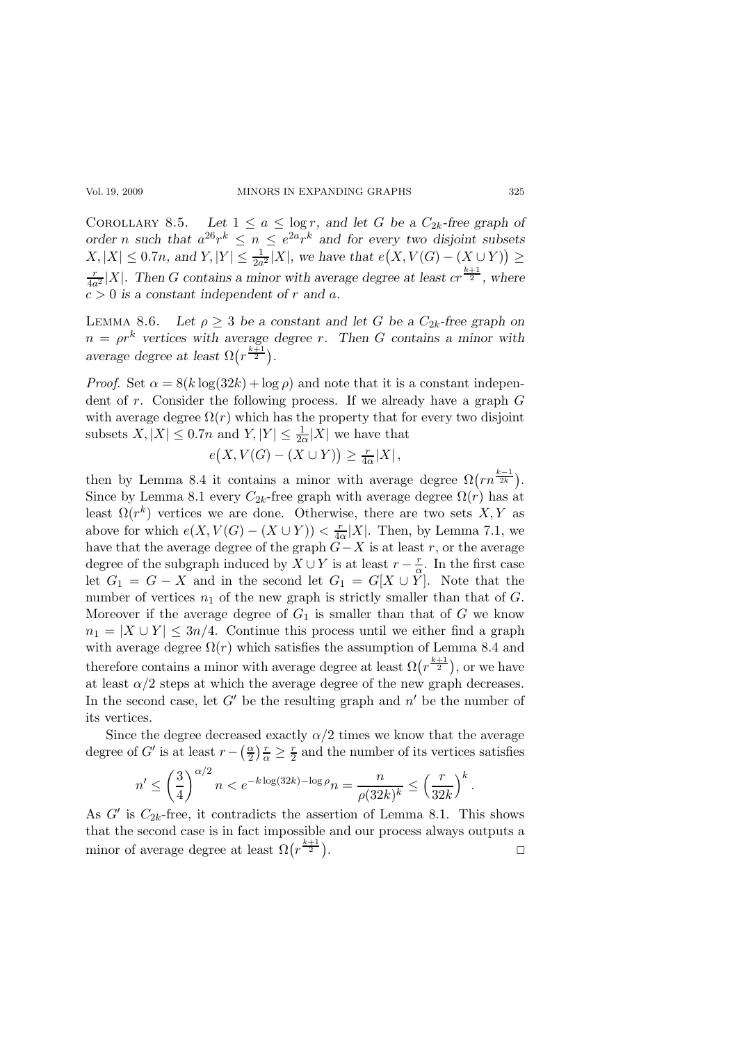COROLLARY 8.5. Let  $1 \le a \le \log r$ , and let G be a  $C_{2k}$ -free graph of order *n* such that  $a^{26}r^k \leq n \leq e^{2a}r^k$  and for every two disjoint subsets  $X, |X| \leq 0.7n$ , and  $Y, |Y| \leq \frac{1}{2a^2}|X|$ , we have that  $e(X, V(G) - (X \cup Y)) \geq$  $\frac{r}{4a^2}|X|$ . Then G contains a minor with average degree at least  $cr^{\frac{k+1}{2}}$ , where  $c > 0$  is a constant independent of r and a.

LEMMA 8.6. Let  $\rho \geq 3$  be a constant and let G be a  $C_{2k}$ -free graph on  $n = \rho r^k$  vertices with average degree r. Then G contains a minor with average degree at least  $\Omega(r^{\frac{k+1}{2}})$ .

*Proof.* Set  $\alpha = 8(k \log(32k) + \log \rho)$  and note that it is a constant independent of  $r$ . Consider the following process. If we already have a graph  $G$ with average degree  $\Omega(r)$  which has the property that for every two disjoint subsets  $X, |X| \leq 0.7n$  and  $Y, |Y| \leq \frac{1}{2\alpha}|X|$  we have that

$$
e(X, V(G) - (X \cup Y)) \ge \frac{r}{4\alpha}|X|,
$$

then by Lemma 8.4 it contains a minor with average degree  $\Omega(rn^{\frac{k-1}{2k}})$ . Since by Lemma 8.1 every  $C_{2k}$ -free graph with average degree  $\Omega(r)$  has at least  $\Omega(r^k)$  vertices we are done. Otherwise, there are two sets  $X, Y$  as above for which  $e(X, V(G) - (X \cup Y)) < \frac{r}{4d}$  $\frac{r}{4\alpha}|X|$ . Then, by Lemma 7.1, we have that the average degree of the graph  $G-X$  is at least r, or the average degree of the subgraph induced by  $X \cup Y$  is at least  $r - \frac{r}{\alpha}$  $\frac{r}{\alpha}$ . In the first case let  $G_1 = G - X$  and in the second let  $G_1 = G[X \cup Y]$ . Note that the number of vertices  $n_1$  of the new graph is strictly smaller than that of  $G$ . Moreover if the average degree of  $G_1$  is smaller than that of G we know  $n_1 = |X \cup Y| \leq 3n/4$ . Continue this process until we either find a graph with average degree  $\Omega(r)$  which satisfies the assumption of Lemma 8.4 and therefore contains a minor with average degree at least  $\Omega(r^{\frac{k+1}{2}})$ , or we have at least  $\alpha/2$  steps at which the average degree of the new graph decreases. In the second case, let  $G'$  be the resulting graph and  $n'$  be the number of its vertices.

Since the degree decreased exactly  $\alpha/2$  times we know that the average degree of  $G'$  is at least  $r - \left(\frac{\alpha}{2}\right)$  $\frac{\alpha}{2}$ ) $\frac{r}{\alpha} \geq \frac{r}{2}$  $\frac{r}{2}$  and the number of its vertices satisfies

$$
n' \le \left(\frac{3}{4}\right)^{\alpha/2} n < e^{-k \log(32k) - \log \rho} n = \frac{n}{\rho(32k)^k} \le \left(\frac{r}{32k}\right)^k.
$$

As  $G'$  is  $C_{2k}$ -free, it contradicts the assertion of Lemma 8.1. This shows that the second case is in fact impossible and our process always outputs a minor of average degree at least  $\Omega(r^{\frac{k+1}{2}})$ .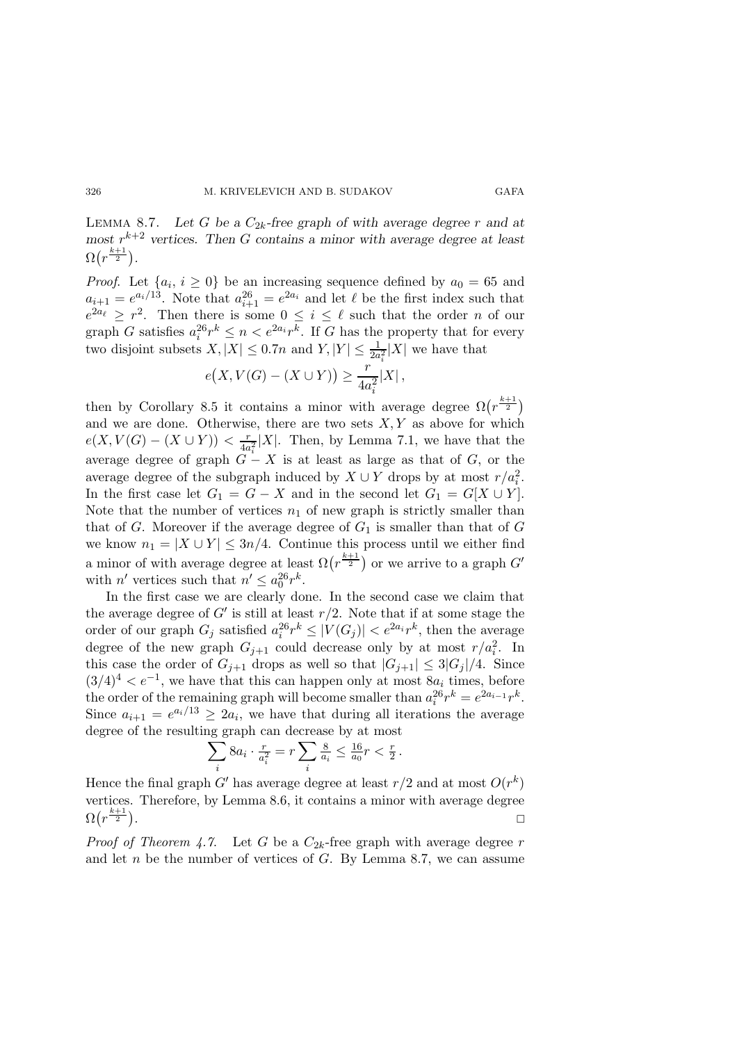LEMMA 8.7. Let G be a  $C_{2k}$ -free graph of with average degree r and at most  $r^{k+2}$  vertices. Then G contains a minor with average degree at least  $\Omega(r^{\frac{k+1}{2}}).$ 

*Proof.* Let  $\{a_i, i \geq 0\}$  be an increasing sequence defined by  $a_0 = 65$  and  $a_{i+1} = e^{a_i/13}$ . Note that  $a_{i+1}^{26} = e^{2a_i}$  and let  $\ell$  be the first index such that  $e^{2a_{\ell}} \geq r^2$ . Then there is some  $0 \leq i \leq \ell$  such that the order *n* of our graph G satisfies  $a_i^{26}r^k \leq n < e^{2a_i}r^k$ . If G has the property that for every two disjoint subsets  $X, |X| \leq 0.7n$  and  $Y, |Y| \leq \frac{1}{2a_i^2}|X|$  we have that

$$
e(X, V(G) - (X \cup Y)) \ge \frac{r}{4a_i^2}|X|,
$$

then by Corollary 8.5 it contains a minor with average degree  $\Omega(r^{\frac{k+1}{2}})$ and we are done. Otherwise, there are two sets  $X, Y$  as above for which  $e(X, V(G) - (X \cup Y)) < \frac{r}{4a}$  $\frac{r}{4a_i^2}|X|$ . Then, by Lemma 7.1, we have that the average degree of graph  $G - X$  is at least as large as that of G, or the average degree of the subgraph induced by  $X \cup Y$  drops by at most  $r/a_i^2$ . In the first case let  $G_1 = G - X$  and in the second let  $G_1 = G[X \cup Y]$ . Note that the number of vertices  $n_1$  of new graph is strictly smaller than that of G. Moreover if the average degree of  $G_1$  is smaller than that of G we know  $n_1 = |X \cup Y| \leq 3n/4$ . Continue this process until we either find a minor of with average degree at least  $\Omega(r^{\frac{k+1}{2}})$  or we arrive to a graph  $G'$ with *n'* vertices such that  $n' \leq a_0^{26} r^k$ .

In the first case we are clearly done. In the second case we claim that the average degree of  $G'$  is still at least  $r/2$ . Note that if at some stage the order of our graph  $G_j$  satisfied  $a_i^{26}r^k \leq |V(G_j)| < e^{2a_i}r^k$ , then the average degree of the new graph  $G_{j+1}$  could decrease only by at most  $r/a_i^2$ . In this case the order of  $G_{j+1}$  drops as well so that  $|G_{j+1}| \leq 3|G_j|/4$ . Since  $(3/4)^4 < e^{-1}$ , we have that this can happen only at most  $8a_i$  times, before the order of the remaining graph will become smaller than  $a_i^{26}r^k = e^{2a_{i-1}}r^k$ . Since  $a_{i+1} = e^{a_i/13} \ge 2a_i$ , we have that during all iterations the average degree of the resulting graph can decrease by at most

$$
\sum_{i} 8a_i \cdot \frac{r}{a_i^2} = r \sum_{i} \frac{8}{a_i} \le \frac{16}{a_0} r < \frac{r}{2} \, .
$$

Hence the final graph G' has average degree at least  $r/2$  and at most  $O(r^k)$ vertices. Therefore, by Lemma 8.6, it contains a minor with average degree  $\Omega(r^{\frac{k+1}{2}})$ . Description of the contract of the contract of the contract of the contract of the contract of the contract o

*Proof of Theorem 4.7.* Let G be a  $C_{2k}$ -free graph with average degree r and let  $n$  be the number of vertices of  $G$ . By Lemma 8.7, we can assume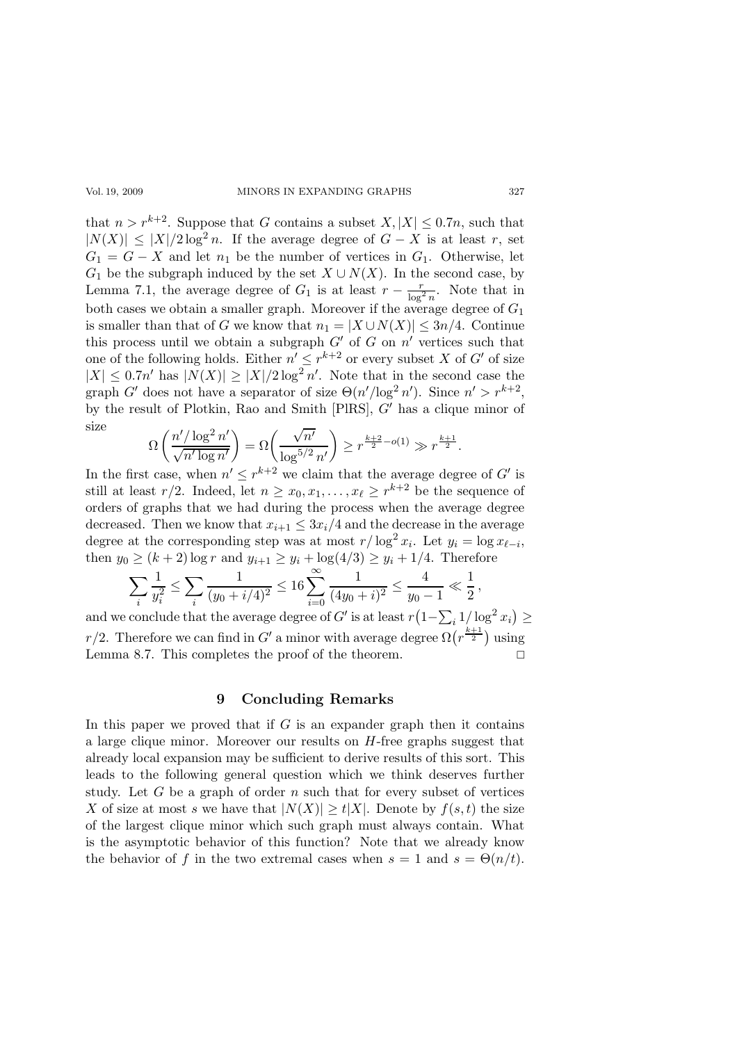#### Vol. 19, 2009 MINORS IN EXPANDING GRAPHS 327

that  $n > r^{k+2}$ . Suppose that G contains a subset  $X, |X| \leq 0.7n$ , such that  $|N(X)| \leq |X|/2 \log^2 n$ . If the average degree of  $G - X$  is at least r, set  $G_1 = G - X$  and let  $n_1$  be the number of vertices in  $G_1$ . Otherwise, let  $G_1$  be the subgraph induced by the set  $X \cup N(X)$ . In the second case, by Lemma 7.1, the average degree of  $G_1$  is at least  $r - \frac{r}{\log^2 n}$ . Note that in both cases we obtain a smaller graph. Moreover if the average degree of  $G_1$ is smaller than that of G we know that  $n_1 = |X \cup N(X)| \leq 3n/4$ . Continue this process until we obtain a subgraph  $G'$  of  $G$  on  $n'$  vertices such that one of the following holds. Either  $n' \leq r^{k+2}$  or every subset X of G' of size  $|X| \leq 0.7n'$  has  $|N(X)| \geq |X|/2 \log^2 n'$ . Note that in the second case the graph G' does not have a separator of size  $\Theta(n'/\log^2 n')$ . Since  $n' > r^{k+2}$ , by the result of Plotkin, Rao and Smith [PlRS], G′ has a clique minor of size

$$
\Omega\left(\frac{n'/\log^2 n'}{\sqrt{n'\log n'}}\right) = \Omega\left(\frac{\sqrt{n'}}{\log^{5/2} n'}\right) \ge r^{\frac{k+2}{2} - o(1)} \gg r^{\frac{k+1}{2}}.
$$

In the first case, when  $n' \leq r^{k+2}$  we claim that the average degree of G' is still at least  $r/2$ . Indeed, let  $n \geq x_0, x_1, \ldots, x_\ell \geq r^{k+2}$  be the sequence of orders of graphs that we had during the process when the average degree decreased. Then we know that  $x_{i+1} \leq 3x_i/4$  and the decrease in the average degree at the corresponding step was at most  $r/\log^2 x_i$ . Let  $y_i = \log x_{\ell-i}$ , then  $y_0 \ge (k+2) \log r$  and  $y_{i+1} \ge y_i + \log(4/3) \ge y_i + 1/4$ . Therefore

$$
\sum_{i} \frac{1}{y_i^2} \le \sum_{i} \frac{1}{(y_0 + i/4)^2} \le 16 \sum_{i=0}^{\infty} \frac{1}{(4y_0 + i)^2} \le \frac{4}{y_0 - 1} \ll \frac{1}{2},
$$

and we conclude that the average degree of  $G'$  is at least  $r(1-\sum_i 1/\log^2 x_i) \geq$ r/2. Therefore we can find in G' a minor with average degree  $\Omega(r^{\frac{k+1}{2}})$  using Lemma 8.7. This completes the proof of the theorem.

# 9 Concluding Remarks

In this paper we proved that if  $G$  is an expander graph then it contains a large clique minor. Moreover our results on  $H$ -free graphs suggest that already local expansion may be sufficient to derive results of this sort. This leads to the following general question which we think deserves further study. Let  $G$  be a graph of order  $n$  such that for every subset of vertices X of size at most s we have that  $|N(X)| \ge t |X|$ . Denote by  $f(s, t)$  the size of the largest clique minor which such graph must always contain. What is the asymptotic behavior of this function? Note that we already know the behavior of f in the two extremal cases when  $s = 1$  and  $s = \Theta(n/t)$ .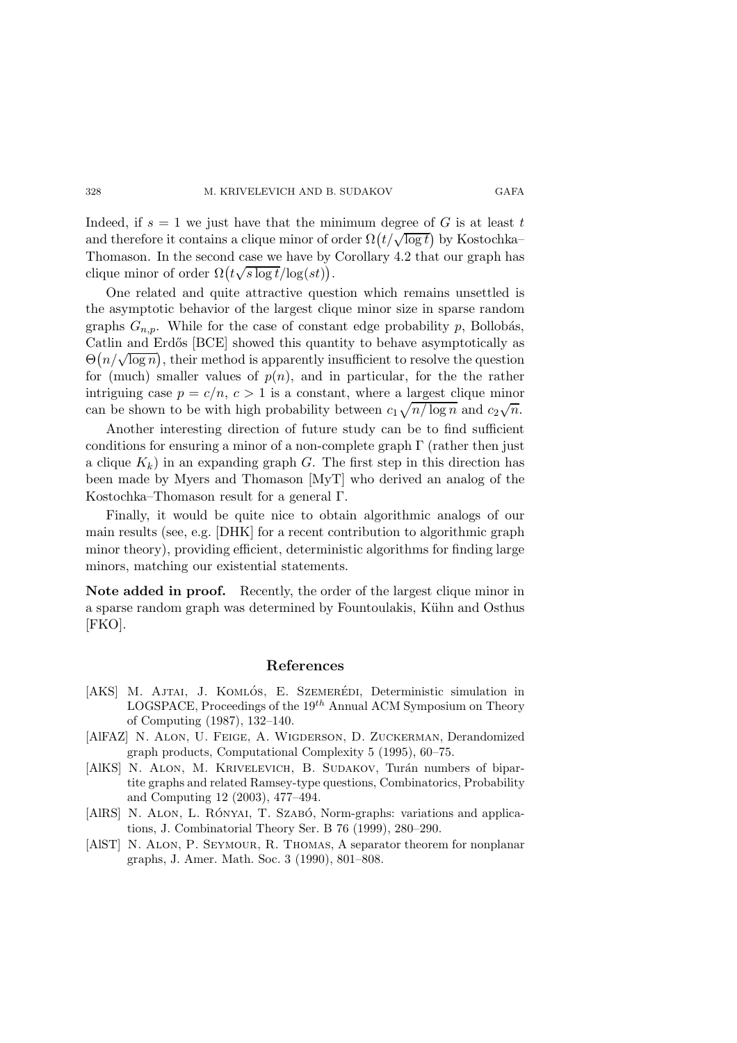Indeed, if  $s = 1$  we just have that the minimum degree of G is at least t and therefore it contains a clique minor of order  $\Omega(t/\sqrt{\log t})$  by Kostochka– Thomason. In the second case we have by Corollary 4.2 that our graph has clique minor of order  $\Omega(t\sqrt{s\log t}/\log(st))$ .

One related and quite attractive question which remains unsettled is the asymptotic behavior of the largest clique minor size in sparse random graphs  $G_{n,p}$ . While for the case of constant edge probability p, Bollobás, Catlin and Erdős [BCE] showed this quantity to behave asymptotically as  $\Theta(n/\sqrt{\log n})$ , their method is apparently insufficient to resolve the question for (much) smaller values of  $p(n)$ , and in particular, for the the rather intriguing case  $p = c/n$ ,  $c > 1$  is a constant, where a largest clique minor can be shown to be with high probability between  $c_1\sqrt{n/\log n}$  and  $c_2\sqrt{n}$ .

Another interesting direction of future study can be to find sufficient conditions for ensuring a minor of a non-complete graph  $\Gamma$  (rather then just a clique  $K_k$ ) in an expanding graph G. The first step in this direction has been made by Myers and Thomason [MyT] who derived an analog of the Kostochka–Thomason result for a general Γ.

Finally, it would be quite nice to obtain algorithmic analogs of our main results (see, e.g. [DHK] for a recent contribution to algorithmic graph minor theory), providing efficient, deterministic algorithms for finding large minors, matching our existential statements.

Note added in proof. Recently, the order of the largest clique minor in a sparse random graph was determined by Fountoulakis, Kühn and Osthus [FKO].

#### References

- [AKS] M. AJTAI, J. KOMLÓS, E. SZEMERÉDI, Deterministic simulation in LOGSPACE, Proceedings of the  $19^{th}$  Annual ACM Symposium on Theory of Computing (1987), 132–140.
- [AlFAZ] N. ALON, U. FEIGE, A. WIGDERSON, D. ZUCKERMAN, Derandomized graph products, Computational Complexity 5 (1995), 60–75.
- [AlKS] N. ALON, M. KRIVELEVICH, B. SUDAKOV, Turán numbers of bipartite graphs and related Ramsey-type questions, Combinatorics, Probability and Computing 12 (2003), 477–494.
- [AlRS] N. ALON, L. RÓNYAI, T. SZABÓ, Norm-graphs: variations and applications, J. Combinatorial Theory Ser. B 76 (1999), 280–290.
- [AlST] N. Alon, P. Seymour, R. Thomas, A separator theorem for nonplanar graphs, J. Amer. Math. Soc. 3 (1990), 801–808.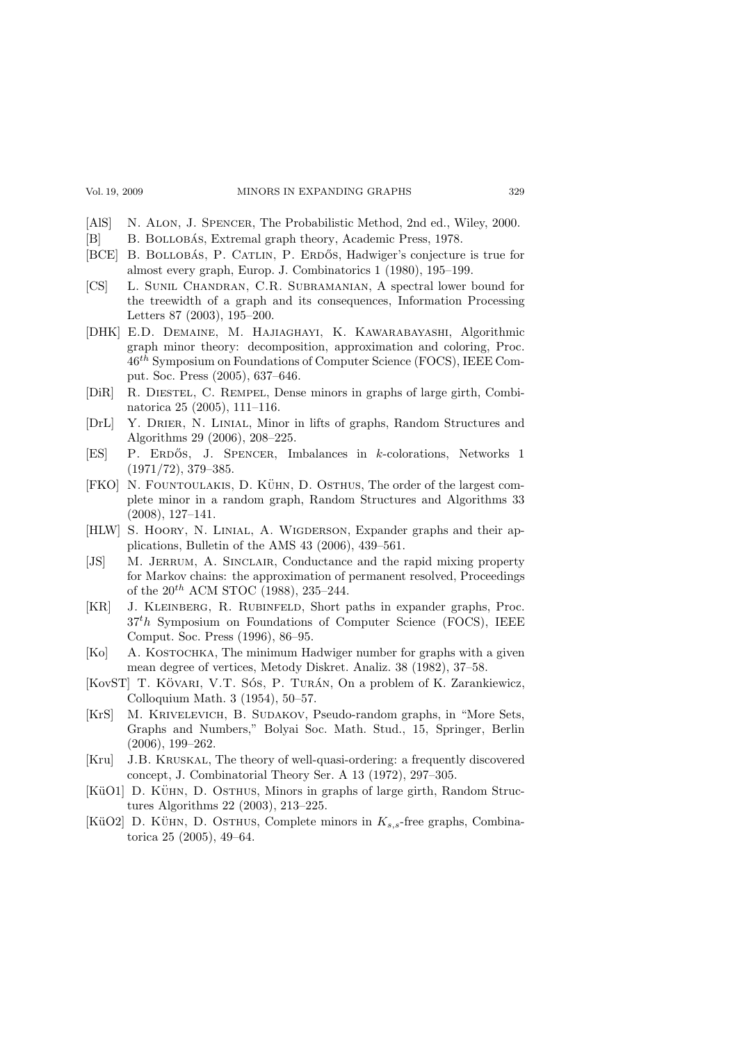- [AlS] N. ALON, J. SPENCER, The Probabilistic Method, 2nd ed., Wiley, 2000.
- [B] B. BOLLOBÁS, Extremal graph theory, Academic Press, 1978.
- [BCE] B. BOLLOBÁS, P. CATLIN, P. ERDŐS, Hadwiger's conjecture is true for almost every graph, Europ. J. Combinatorics 1 (1980), 195–199.
- [CS] L. Sunil Chandran, C.R. Subramanian, A spectral lower bound for the treewidth of a graph and its consequences, Information Processing Letters 87 (2003), 195–200.
- [DHK] E.D. Demaine, M. Hajiaghayi, K. Kawarabayashi, Algorithmic graph minor theory: decomposition, approximation and coloring, Proc.  $46<sup>th</sup>$  Symposium on Foundations of Computer Science (FOCS), IEEE Comput. Soc. Press (2005), 637–646.
- [DiR] R. Diestel, C. Rempel, Dense minors in graphs of large girth, Combinatorica 25 (2005), 111–116.
- [DrL] Y. DRIER, N. LINIAL, Minor in lifts of graphs, Random Structures and Algorithms 29 (2006), 208–225.
- [ES] P. ERDŐS, J. SPENCER, Imbalances in *k*-colorations, Networks 1 (1971/72), 379–385.
- [FKO] N. FOUNTOULAKIS, D. KÜHN, D. OSTHUS, The order of the largest complete minor in a random graph, Random Structures and Algorithms 33 (2008), 127–141.
- [HLW] S. HOORY, N. LINIAL, A. WIGDERSON, Expander graphs and their applications, Bulletin of the AMS 43 (2006), 439–561.
- [JS] M. JERRUM, A. SINCLAIR, Conductance and the rapid mixing property for Markov chains: the approximation of permanent resolved, Proceedings of the  $20^{th}$  ACM STOC (1988), 235-244.
- [KR] J. Kleinberg, R. Rubinfeld, Short paths in expander graphs, Proc.  $37<sup>t</sup>h$  Symposium on Foundations of Computer Science (FOCS), IEEE Comput. Soc. Press (1996), 86–95.
- [Ko] A. KOSTOCHKA, The minimum Hadwiger number for graphs with a given mean degree of vertices, Metody Diskret. Analiz. 38 (1982), 37–58.
- [KovST] T. KÖVARI, V.T. SÓS, P. TURÁN, On a problem of K. Zarankiewicz, Colloquium Math. 3 (1954), 50–57.
- [KrS] M. Krivelevich, B. Sudakov, Pseudo-random graphs, in "More Sets, Graphs and Numbers," Bolyai Soc. Math. Stud., 15, Springer, Berlin (2006), 199–262.
- [Kru] J.B. Kruskal, The theory of well-quasi-ordering: a frequently discovered concept, J. Combinatorial Theory Ser. A 13 (1972), 297–305.
- [KüO1] D. KÜHN, D. OSTHUS, Minors in graphs of large girth, Random Structures Algorithms 22 (2003), 213–225.
- [KüO2] D. KÜHN, D. OSTHUS, Complete minors in  $K_{s,s}$ -free graphs, Combinatorica 25 (2005), 49–64.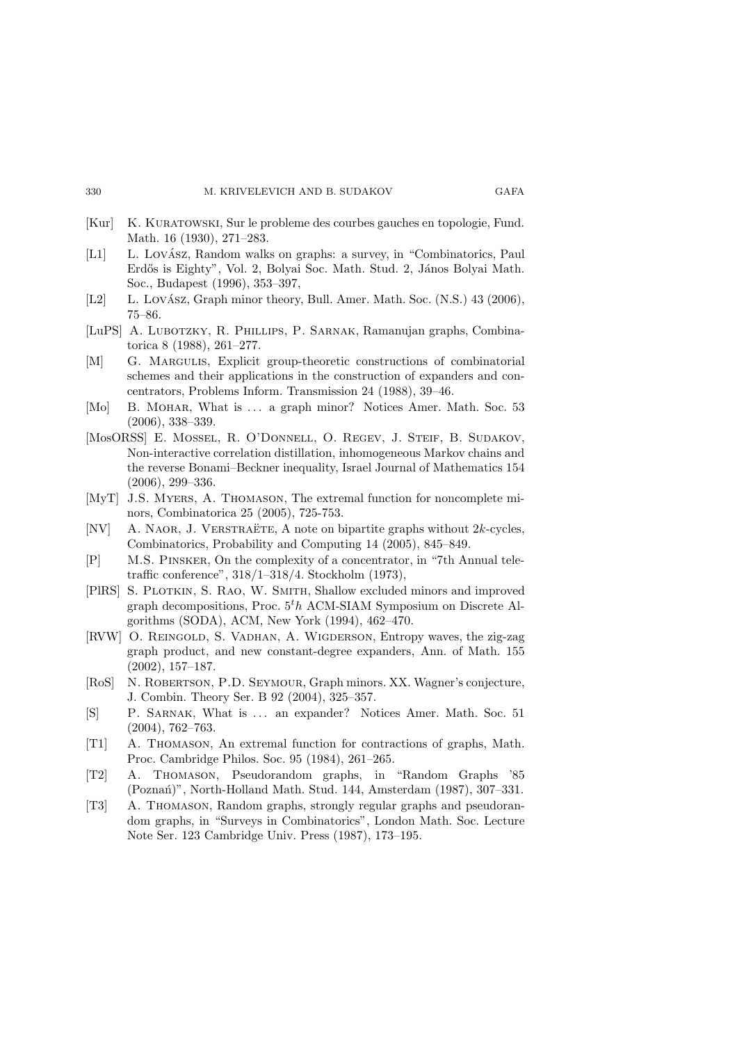- [Kur] K. Kuratowski, Sur le probleme des courbes gauches en topologie, Fund. Math. 16 (1930), 271–283.
- [L1] L. Lovász, Random walks on graphs: a survey, in "Combinatorics, Paul Erdős is Eighty", Vol. 2, Bolyai Soc. Math. Stud. 2, János Bolyai Math. Soc., Budapest (1996), 353–397,
- $[L2]$  L. Lovász, Graph minor theory, Bull. Amer. Math. Soc.  $(N.S.)$  43 (2006), 75–86.
- [LuPS] A. Lubotzky, R. Phillips, P. Sarnak, Ramanujan graphs, Combinatorica 8 (1988), 261–277.
- [M] G. Margulis, Explicit group-theoretic constructions of combinatorial schemes and their applications in the construction of expanders and concentrators, Problems Inform. Transmission 24 (1988), 39–46.
- [Mo] B. MOHAR, What is ... a graph minor? Notices Amer. Math. Soc. 53 (2006), 338–339.
- [MosORSS] E. Mossel, R. O'Donnell, O. Regev, J. Steif, B. Sudakov, Non-interactive correlation distillation, inhomogeneous Markov chains and the reverse Bonami–Beckner inequality, Israel Journal of Mathematics 154 (2006), 299–336.
- [MyT] J.S. Myers, A. Thomason, The extremal function for noncomplete minors, Combinatorica 25 (2005), 725-753.
- [NV] A. NAOR, J. VERSTRAËTE, A note on bipartite graphs without  $2k$ -cycles, Combinatorics, Probability and Computing 14 (2005), 845–849.
- [P] M.S. Pinsker, On the complexity of a concentrator, in "7th Annual teletraffic conference", 318/1–318/4. Stockholm (1973),
- [PlRS] S. Plotkin, S. Rao, W. Smith, Shallow excluded minors and improved graph decompositions, Proc.  $5<sup>th</sup>$  ACM-SIAM Symposium on Discrete Algorithms (SODA), ACM, New York (1994), 462–470.
- [RVW] O. REINGOLD, S. VADHAN, A. WIGDERSON, Entropy waves, the zig-zag graph product, and new constant-degree expanders, Ann. of Math. 155 (2002), 157–187.
- [RoS] N. ROBERTSON, P.D. SEYMOUR, Graph minors. XX. Wagner's conjecture, J. Combin. Theory Ser. B 92 (2004), 325–357.
- [S] P. SARNAK, What is ... an expander? Notices Amer. Math. Soc. 51 (2004), 762–763.
- [T1] A. Thomason, An extremal function for contractions of graphs, Math. Proc. Cambridge Philos. Soc. 95 (1984), 261–265.
- [T2] A. Thomason, Pseudorandom graphs, in "Random Graphs '85 (Poznań)", North-Holland Math. Stud. 144, Amsterdam (1987), 307-331.
- [T3] A. Thomason, Random graphs, strongly regular graphs and pseudorandom graphs, in "Surveys in Combinatorics", London Math. Soc. Lecture Note Ser. 123 Cambridge Univ. Press (1987), 173–195.